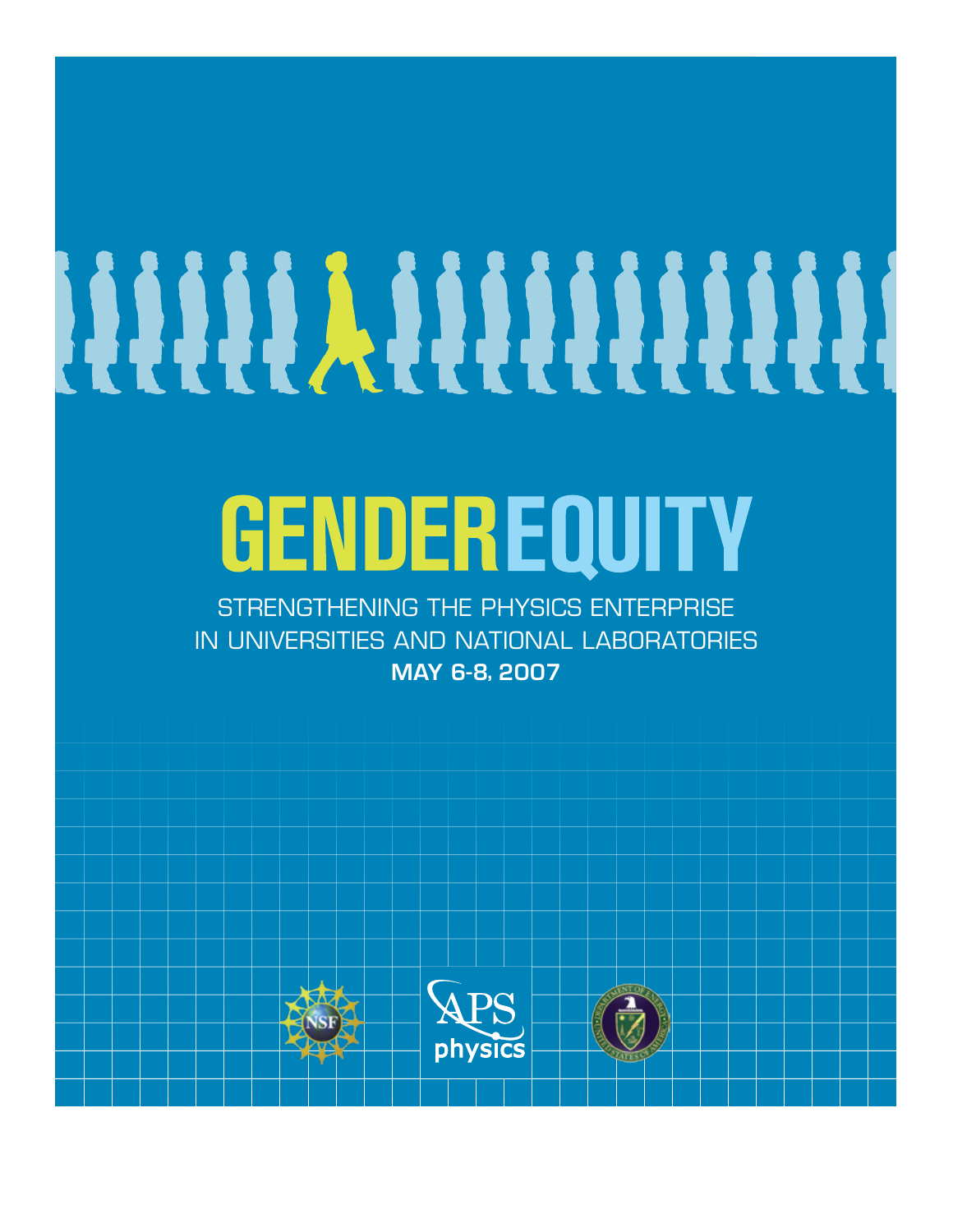# 

# **GENDEREQUITY**

STRENGTHENING THE PHYSICS ENTERPRISE IN UNIVERSITIES AND NATIONAL LABORATORIES MAY 6-8, 2007

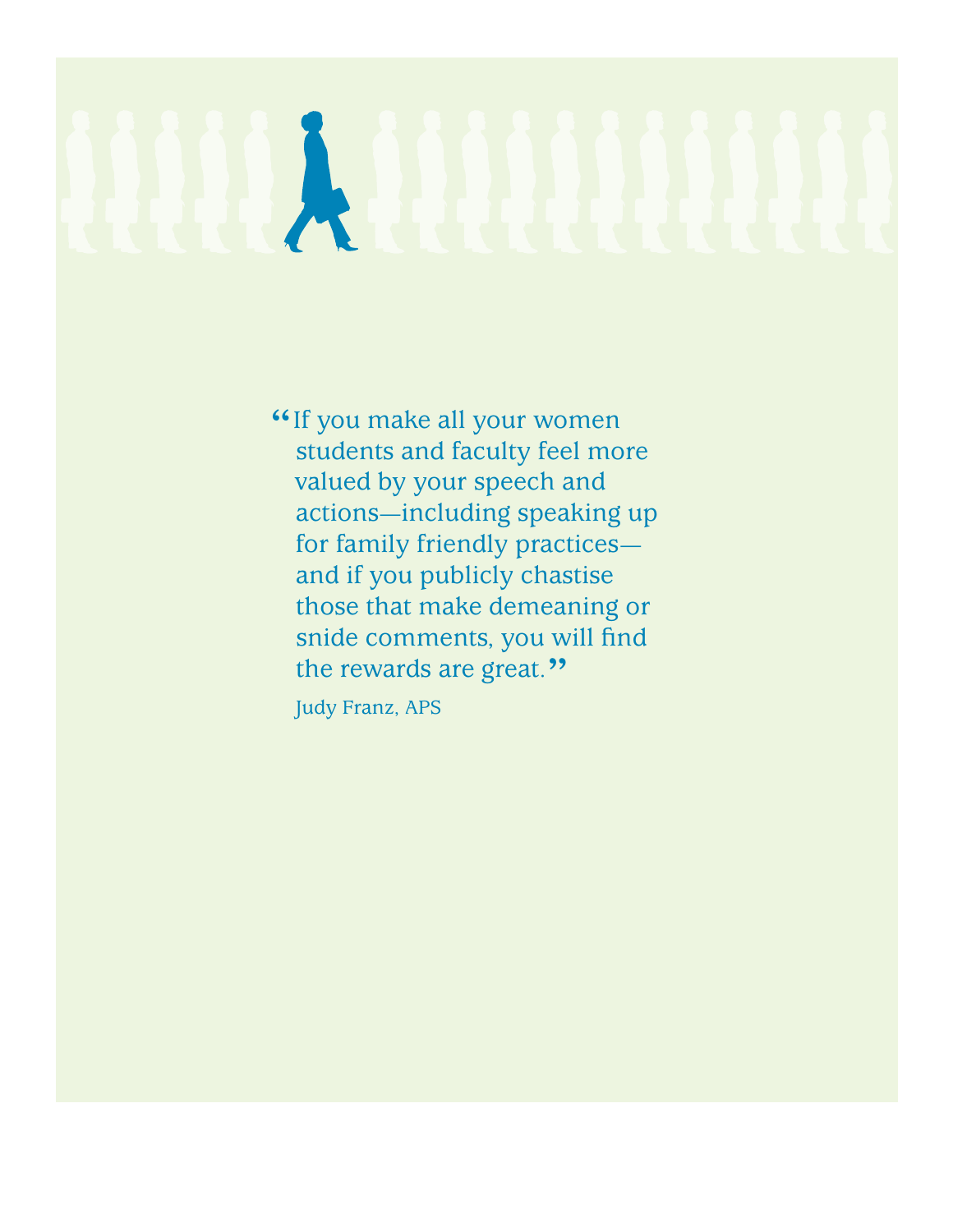"If you make all your women students and faculty feel more valued by your speech and actions—including speaking up for family friendly practices and if you publicly chastise those that make demeaning or snide comments, you will find the rewards are great."

Judy Franz, APS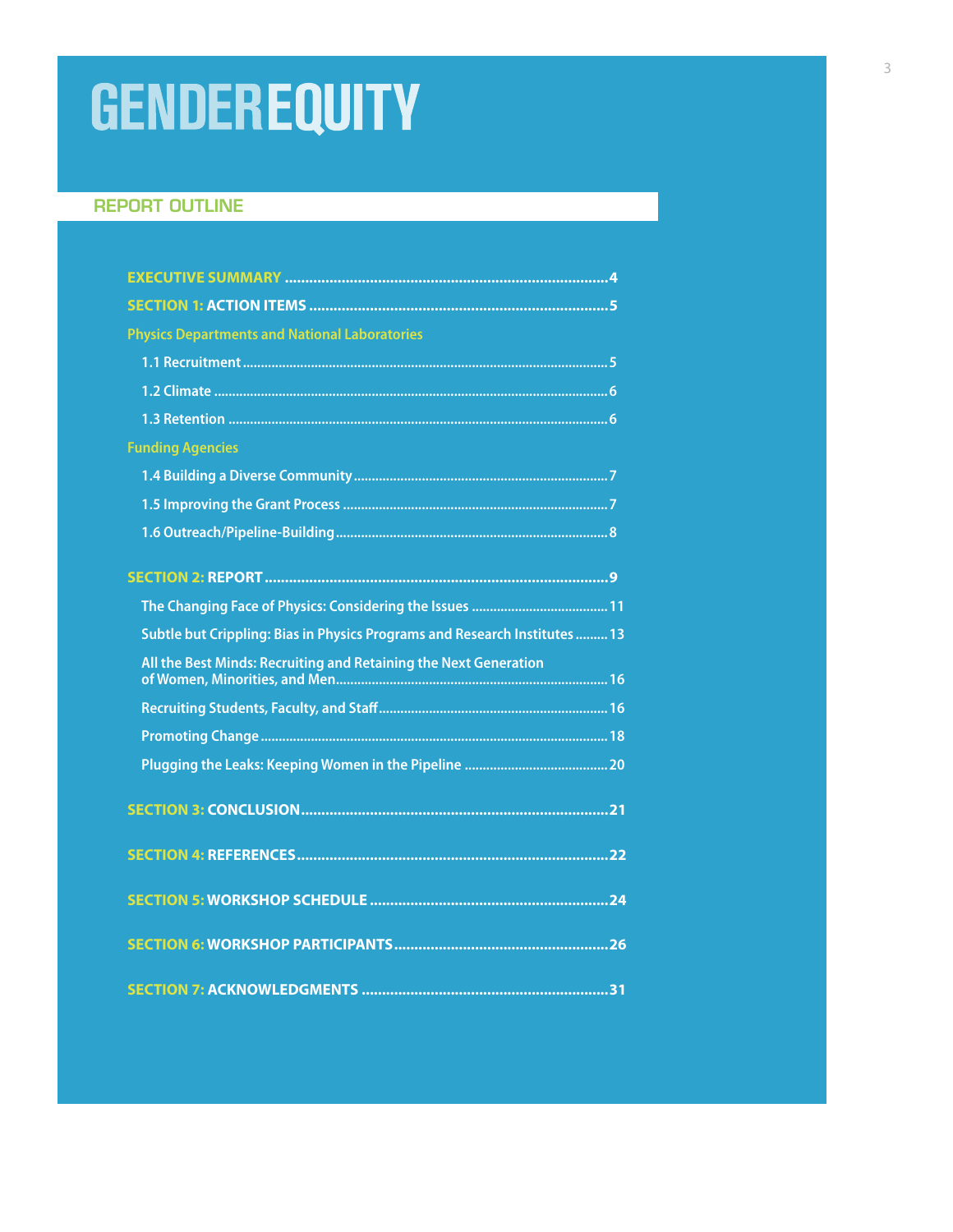# REPORT OUTLINE

| <b>Physics Departments and National Laboratories</b>                      |
|---------------------------------------------------------------------------|
|                                                                           |
|                                                                           |
|                                                                           |
| <b>Funding Agencies</b>                                                   |
|                                                                           |
|                                                                           |
|                                                                           |
|                                                                           |
|                                                                           |
|                                                                           |
| Subtle but Crippling: Bias in Physics Programs and Research Institutes 13 |
| All the Best Minds: Recruiting and Retaining the Next Generation          |
|                                                                           |
|                                                                           |
|                                                                           |
|                                                                           |
|                                                                           |
|                                                                           |
|                                                                           |
|                                                                           |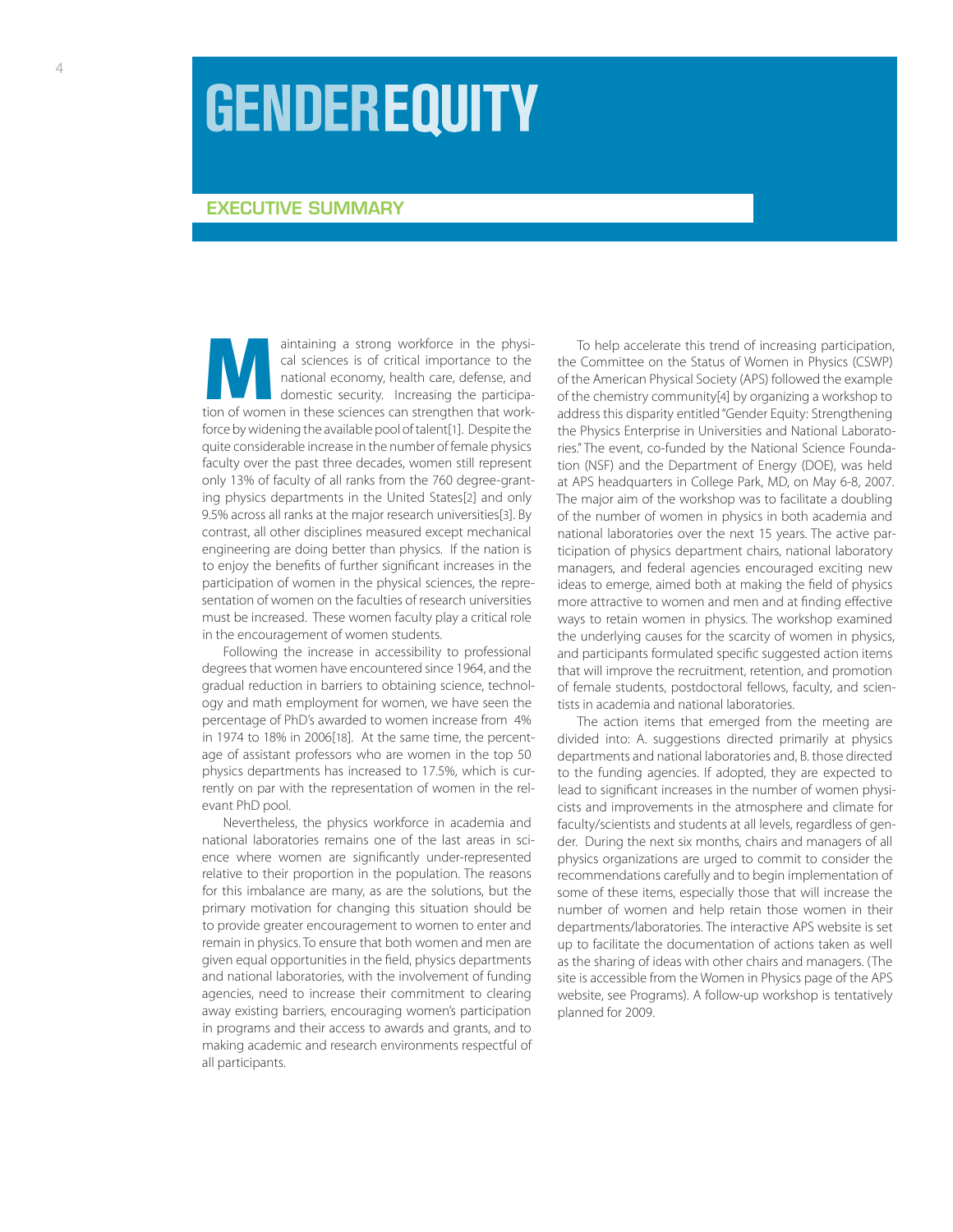# **EXECUTIVE SUMMARY**

aintaining a strong workforce in the physical sciences is of critical importance to the national economy, health care, defense, and domestic security. Increasing the participation of women in these sciences can strengthen cal sciences is of critical importance to the national economy, health care, defense, and domestic security. Increasing the participaforce by widening the available pool of talent[1]. Despite the quite considerable increase in the number of female physics faculty over the past three decades, women still represent only 13% of faculty of all ranks from the 760 degree-granting physics departments in the United States[2] and only 9.5% across all ranks at the major research universities[3]. By contrast, all other disciplines measured except mechanical engineering are doing better than physics. If the nation is to enjoy the benefits of further significant increases in the participation of women in the physical sciences, the representation of women on the faculties of research universities must be increased. These women faculty play a critical role in the encouragement of women students.

Following the increase in accessibility to professional degrees that women have encountered since 1964, and the gradual reduction in barriers to obtaining science, technology and math employment for women, we have seen the percentage of PhD's awarded to women increase from 4% in 1974 to 18% in 2006[18]. At the same time, the percentage of assistant professors who are women in the top 50 physics departments has increased to 17.5%, which is currently on par with the representation of women in the relevant PhD pool.

Nevertheless, the physics workforce in academia and national laboratories remains one of the last areas in science where women are significantly under-represented relative to their proportion in the population. The reasons for this imbalance are many, as are the solutions, but the primary motivation for changing this situation should be to provide greater encouragement to women to enter and remain in physics. To ensure that both women and men are given equal opportunities in the field, physics departments and national laboratories, with the involvement of funding agencies, need to increase their commitment to clearing away existing barriers, encouraging women's participation in programs and their access to awards and grants, and to making academic and research environments respectful of all participants.

To help accelerate this trend of increasing participation, the Committee on the Status of Women in Physics (CSWP) of the American Physical Society (APS) followed the example of the chemistry community[4] by organizing a workshop to address this disparity entitled "Gender Equity: Strengthening the Physics Enterprise in Universities and National Laboratories." The event, co-funded by the National Science Foundation (NSF) and the Department of Energy (DOE), was held at APS headquarters in College Park, MD, on May 6-8, 2007. The major aim of the workshop was to facilitate a doubling of the number of women in physics in both academia and national laboratories over the next 15 years. The active participation of physics department chairs, national laboratory managers, and federal agencies encouraged exciting new ideas to emerge, aimed both at making the field of physics more attractive to women and men and at finding effective ways to retain women in physics. The workshop examined the underlying causes for the scarcity of women in physics, and participants formulated specific suggested action items that will improve the recruitment, retention, and promotion of female students, postdoctoral fellows, faculty, and scientists in academia and national laboratories.

The action items that emerged from the meeting are divided into: A. suggestions directed primarily at physics departments and national laboratories and, B. those directed to the funding agencies. If adopted, they are expected to lead to significant increases in the number of women physicists and improvements in the atmosphere and climate for faculty/scientists and students at all levels, regardless of gender. During the next six months, chairs and managers of all physics organizations are urged to commit to consider the recommendations carefully and to begin implementation of some of these items, especially those that will increase the number of women and help retain those women in their departments/laboratories. The interactive APS website is set up to facilitate the documentation of actions taken as well as the sharing of ideas with other chairs and managers. (The site is accessible from the Women in Physics page of the APS website, see Programs). A follow-up workshop is tentatively planned for 2009.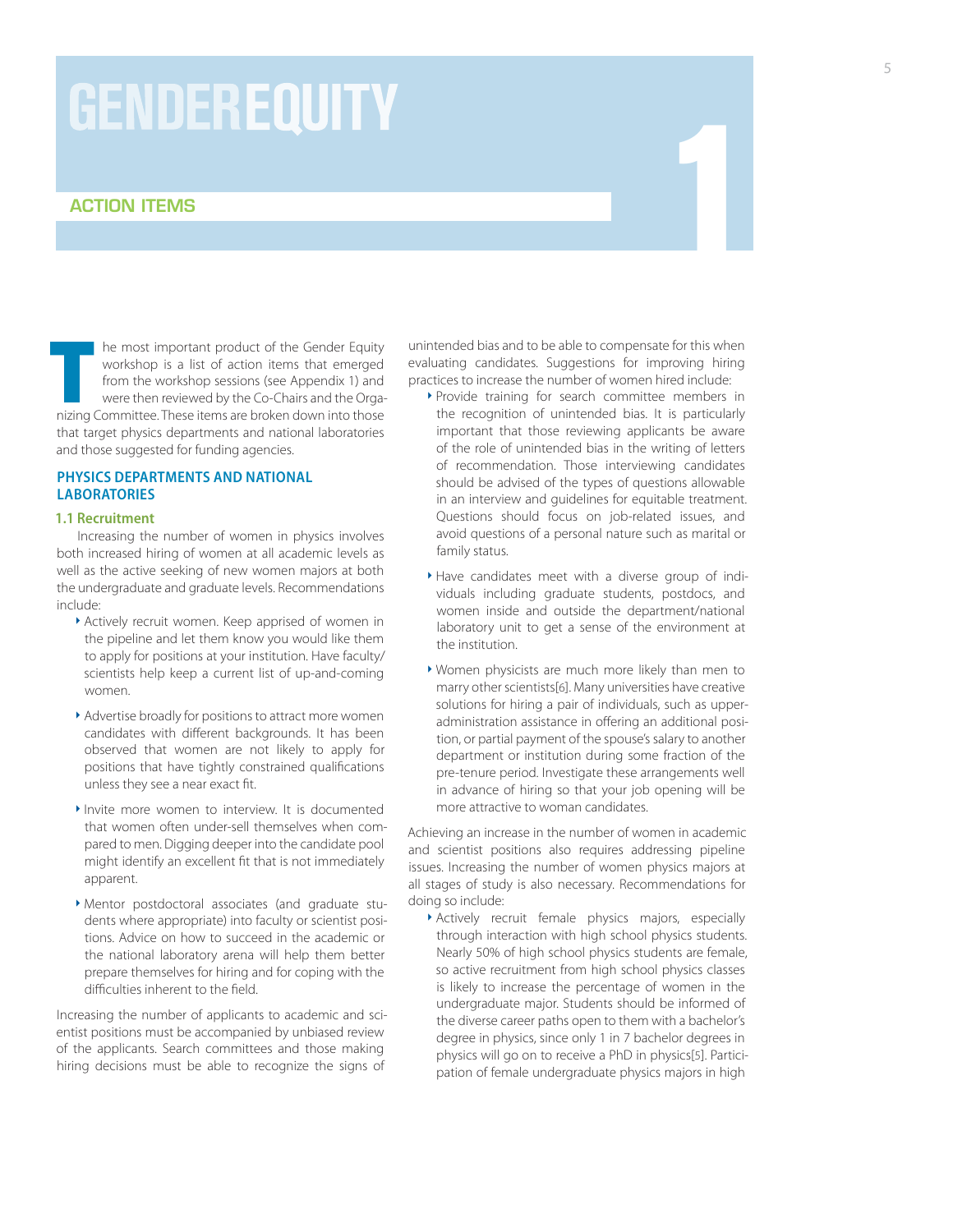# ACTION ITEMS

he most important product of the Gender Equity workshop is a list of action items that emerged from the workshop sessions (see Appendix 1) and were then reviewed by the Co-Chairs and the Organizing Committee. These items are broken down into those that target physics departments and national laboratories and those suggested for funding agencies.

# **Physics Departments and National Laboratories**

# **1.1 Recruitment**

Increasing the number of women in physics involves both increased hiring of women at all academic levels as well as the active seeking of new women majors at both the undergraduate and graduate levels. Recommendations include:

- ‣ Actively recruit women. Keep apprised of women in the pipeline and let them know you would like them to apply for positions at your institution. Have faculty/ scientists help keep a current list of up-and-coming women.
- ‣ Advertise broadly for positions to attract more women candidates with different backgrounds. It has been observed that women are not likely to apply for positions that have tightly constrained qualifications unless they see a near exact fit.
- ‣Invite more women to interview. It is documented that women often under-sell themselves when compared to men. Digging deeper into the candidate pool might identify an excellent fit that is not immediately apparent.
- ‣ Mentor postdoctoral associates (and graduate students where appropriate) into faculty or scientist positions. Advice on how to succeed in the academic or the national laboratory arena will help them better prepare themselves for hiring and for coping with the difficulties inherent to the field.

Increasing the number of applicants to academic and scientist positions must be accompanied by unbiased review of the applicants. Search committees and those making hiring decisions must be able to recognize the signs of

unintended bias and to be able to compensate for this when evaluating candidates. Suggestions for improving hiring practices to increase the number of women hired include:

**1**

- ‣ Provide training for search committee members in the recognition of unintended bias. It is particularly important that those reviewing applicants be aware of the role of unintended bias in the writing of letters of recommendation. Those interviewing candidates should be advised of the types of questions allowable in an interview and guidelines for equitable treatment. Questions should focus on job-related issues, and avoid questions of a personal nature such as marital or family status.
- ‣ Have candidates meet with a diverse group of individuals including graduate students, postdocs, and women inside and outside the department/national laboratory unit to get a sense of the environment at the institution.
- ‣ Women physicists are much more likely than men to marry other scientists[6]. Many universities have creative solutions for hiring a pair of individuals, such as upperadministration assistance in offering an additional position, or partial payment of the spouse's salary to another department or institution during some fraction of the pre-tenure period. Investigate these arrangements well in advance of hiring so that your job opening will be more attractive to woman candidates.

Achieving an increase in the number of women in academic and scientist positions also requires addressing pipeline issues. Increasing the number of women physics majors at all stages of study is also necessary. Recommendations for doing so include:

‣ Actively recruit female physics majors, especially through interaction with high school physics students. Nearly 50% of high school physics students are female, so active recruitment from high school physics classes is likely to increase the percentage of women in the undergraduate major. Students should be informed of the diverse career paths open to them with a bachelor's degree in physics, since only 1 in 7 bachelor degrees in physics will go on to receive a PhD in physics[5]. Participation of female undergraduate physics majors in high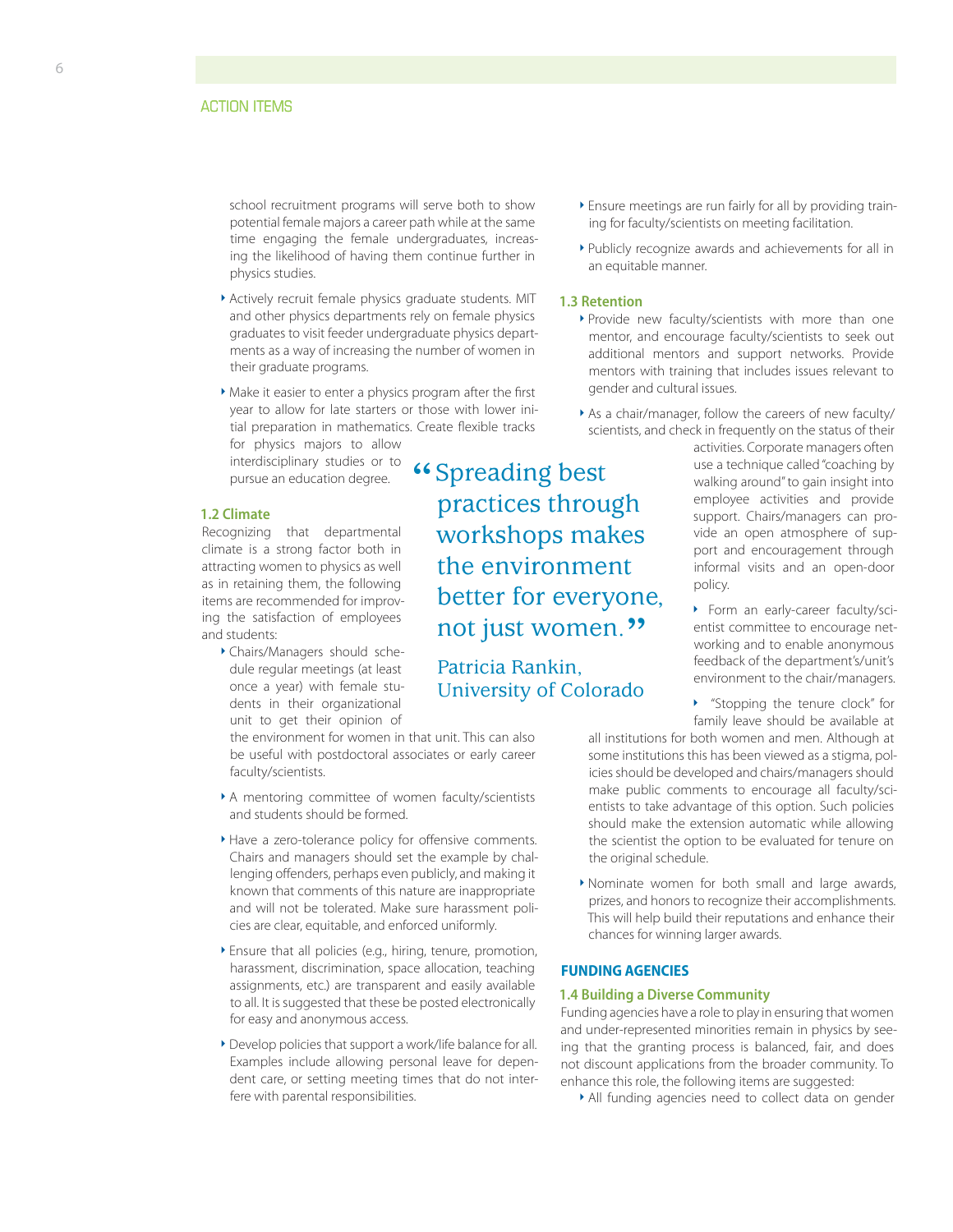6

# ACTION ITEMS

school recruitment programs will serve both to show potential female majors a career path while at the same time engaging the female undergraduates, increasing the likelihood of having them continue further in physics studies.

- ‣ Actively recruit female physics graduate students. MIT and other physics departments rely on female physics graduates to visit feeder undergraduate physics departments as a way of increasing the number of women in their graduate programs.
- ‣ Make it easier to enter a physics program after the first year to allow for late starters or those with lower initial preparation in mathematics. Create flexible tracks for physics majors to allow

interdisciplinary studies or to pursue an education degree.

# **1.2 Climate**

Recognizing that departmental climate is a strong factor both in attracting women to physics as well as in retaining them, the following items are recommended for improving the satisfaction of employees and students:

‣ Chairs/Managers should schedule regular meetings (at least once a year) with female students in their organizational unit to get their opinion of

the environment for women in that unit. This can also be useful with postdoctoral associates or early career faculty/scientists.

- ‣ A mentoring committee of women faculty/scientists and students should be formed.
- ‣ Have a zero-tolerance policy for offensive comments. Chairs and managers should set the example by challenging offenders, perhaps even publicly, and making it known that comments of this nature are inappropriate and will not be tolerated. Make sure harassment policies are clear, equitable, and enforced uniformly.
- ‣ Ensure that all policies (e.g., hiring, tenure, promotion, harassment, discrimination, space allocation, teaching assignments, etc.) are transparent and easily available to all. It is suggested that these be posted electronically for easy and anonymous access.
- ‣ Develop policies that support a work/life balance for all. Examples include allowing personal leave for dependent care, or setting meeting times that do not interfere with parental responsibilities.
- ‣ Ensure meetings are run fairly for all by providing training for faculty/scientists on meeting facilitation.
- ‣ Publicly recognize awards and achievements for all in an equitable manner.

# **1.3 Retention**

- ‣ Provide new faculty/scientists with more than one mentor, and encourage faculty/scientists to seek out additional mentors and support networks. Provide mentors with training that includes issues relevant to gender and cultural issues.
- ‣ As a chair/manager, follow the careers of new faculty/ scientists, and check in frequently on the status of their

"Spreading best practices through workshops makes the environment better for everyone, not just women."

> Patricia Rankin, University of Colorado

activities. Corporate managers often use a technique called "coaching by walking around" to gain insight into employee activities and provide support. Chairs/managers can provide an open atmosphere of support and encouragement through informal visits and an open-door policy.

‣ Form an early-career faculty/scientist committee to encourage networking and to enable anonymous feedback of the department's/unit's environment to the chair/managers.

‣ "Stopping the tenure clock" for family leave should be available at

all institutions for both women and men. Although at some institutions this has been viewed as a stigma, policies should be developed and chairs/managers should make public comments to encourage all faculty/scientists to take advantage of this option. Such policies should make the extension automatic while allowing the scientist the option to be evaluated for tenure on the original schedule.

‣ Nominate women for both small and large awards, prizes, and honors to recognize their accomplishments. This will help build their reputations and enhance their chances for winning larger awards.

# **FUNDING AGENCIES**

# **1.4 Building a Diverse Community**

Funding agencies have a role to play in ensuring that women and under-represented minorities remain in physics by seeing that the granting process is balanced, fair, and does not discount applications from the broader community. To enhance this role, the following items are suggested:

‣ All funding agencies need to collect data on gender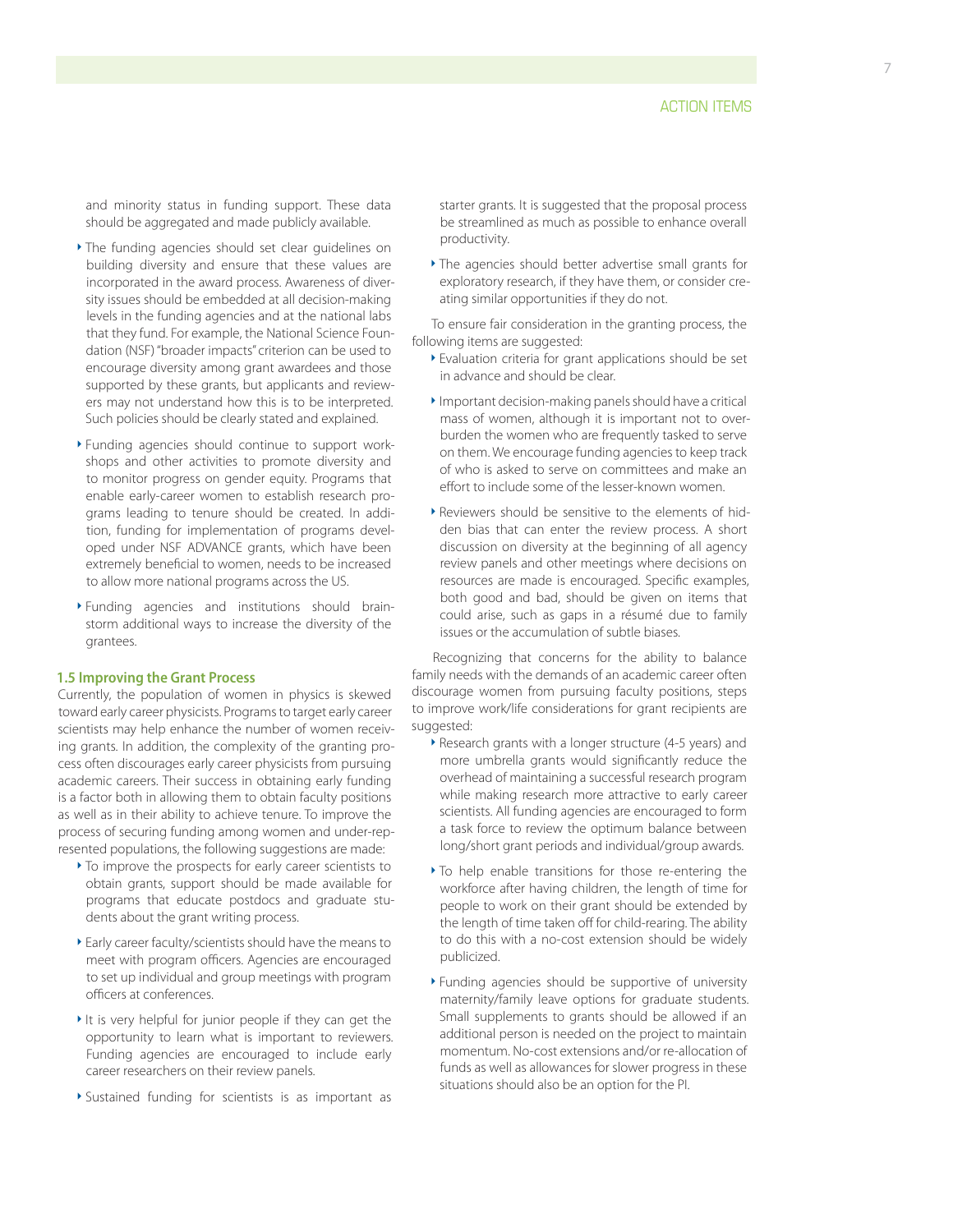and minority status in funding support. These data should be aggregated and made publicly available.

- ‣ The funding agencies should set clear guidelines on building diversity and ensure that these values are incorporated in the award process. Awareness of diversity issues should be embedded at all decision-making levels in the funding agencies and at the national labs that they fund. For example, the National Science Foundation (NSF) "broader impacts" criterion can be used to encourage diversity among grant awardees and those supported by these grants, but applicants and reviewers may not understand how this is to be interpreted. Such policies should be clearly stated and explained.
- ‣ Funding agencies should continue to support workshops and other activities to promote diversity and to monitor progress on gender equity. Programs that enable early-career women to establish research programs leading to tenure should be created. In addition, funding for implementation of programs developed under NSF ADVANCE grants, which have been extremely beneficial to women, needs to be increased to allow more national programs across the US.
- ‣ Funding agencies and institutions should brainstorm additional ways to increase the diversity of the grantees.

# **1.5 Improving the Grant Process**

Currently, the population of women in physics is skewed toward early career physicists. Programs to target early career scientists may help enhance the number of women receiving grants. In addition, the complexity of the granting process often discourages early career physicists from pursuing academic careers. Their success in obtaining early funding is a factor both in allowing them to obtain faculty positions as well as in their ability to achieve tenure. To improve the process of securing funding among women and under-represented populations, the following suggestions are made:

- ‣ To improve the prospects for early career scientists to obtain grants, support should be made available for programs that educate postdocs and graduate students about the grant writing process.
- ‣ Early career faculty/scientists should have the means to meet with program officers. Agencies are encouraged to set up individual and group meetings with program officers at conferences.
- It is very helpful for junior people if they can get the opportunity to learn what is important to reviewers. Funding agencies are encouraged to include early career researchers on their review panels.
- ‣ Sustained funding for scientists is as important as

starter grants. It is suggested that the proposal process be streamlined as much as possible to enhance overall productivity.

‣ The agencies should better advertise small grants for exploratory research, if they have them, or consider creating similar opportunities if they do not.

To ensure fair consideration in the granting process, the following items are suggested:

- ‣ Evaluation criteria for grant applications should be set in advance and should be clear.
- ‣Important decision-making panels should have a critical mass of women, although it is important not to overburden the women who are frequently tasked to serve on them. We encourage funding agencies to keep track of who is asked to serve on committees and make an effort to include some of the lesser-known women.
- ‣ Reviewers should be sensitive to the elements of hidden bias that can enter the review process. A short discussion on diversity at the beginning of all agency review panels and other meetings where decisions on resources are made is encouraged. Specific examples, both good and bad, should be given on items that could arise, such as gaps in a résumé due to family issues or the accumulation of subtle biases.

Recognizing that concerns for the ability to balance family needs with the demands of an academic career often discourage women from pursuing faculty positions, steps to improve work/life considerations for grant recipients are suggested:

- ‣ Research grants with a longer structure (4-5 years) and more umbrella grants would significantly reduce the overhead of maintaining a successful research program while making research more attractive to early career scientists. All funding agencies are encouraged to form a task force to review the optimum balance between long/short grant periods and individual/group awards.
- ‣ To help enable transitions for those re-entering the workforce after having children, the length of time for people to work on their grant should be extended by the length of time taken off for child-rearing. The ability to do this with a no-cost extension should be widely publicized.
- ‣ Funding agencies should be supportive of university maternity/family leave options for graduate students. Small supplements to grants should be allowed if an additional person is needed on the project to maintain momentum. No-cost extensions and/or re-allocation of funds as well as allowances for slower progress in these situations should also be an option for the PI.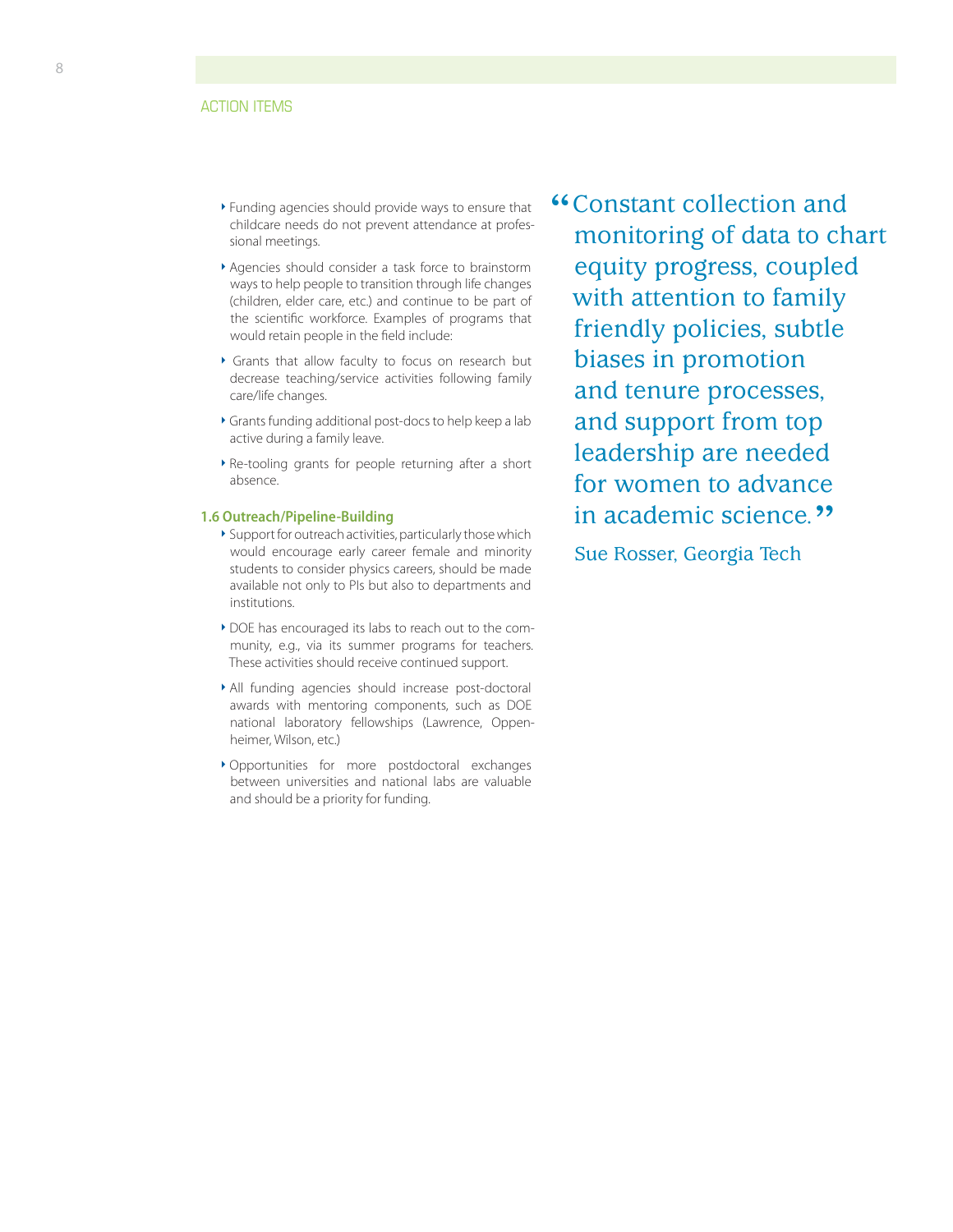- ‣ Funding agencies should provide ways to ensure that childcare needs do not prevent attendance at professional meetings.
- ‣ Agencies should consider a task force to brainstorm ways to help people to transition through life changes (children, elder care, etc.) and continue to be part of the scientific workforce. Examples of programs that would retain people in the field include:
- ‣ Grants that allow faculty to focus on research but decrease teaching/service activities following family care/life changes.
- ‣ Grants funding additional post-docs to help keep a lab active during a family leave.
- ‣ Re-tooling grants for people returning after a short absence.

# **1.6 Outreach/Pipeline-Building**

- ‣ Support for outreach activities, particularly those which would encourage early career female and minority students to consider physics careers, should be made available not only to PIs but also to departments and institutions.
- ‣ DOE has encouraged its labs to reach out to the community, e.g., via its summer programs for teachers. These activities should receive continued support.
- ‣ All funding agencies should increase post-doctoral awards with mentoring components, such as DOE national laboratory fellowships (Lawrence, Oppenheimer, Wilson, etc.)
- ‣ Opportunities for more postdoctoral exchanges between universities and national labs are valuable and should be a priority for funding.

"Constant collection and monitoring of data to chart equity progress, coupled with attention to family friendly policies, subtle biases in promotion and tenure processes, and support from top leadership are needed for women to advance in academic science."

Sue Rosser, Georgia Tech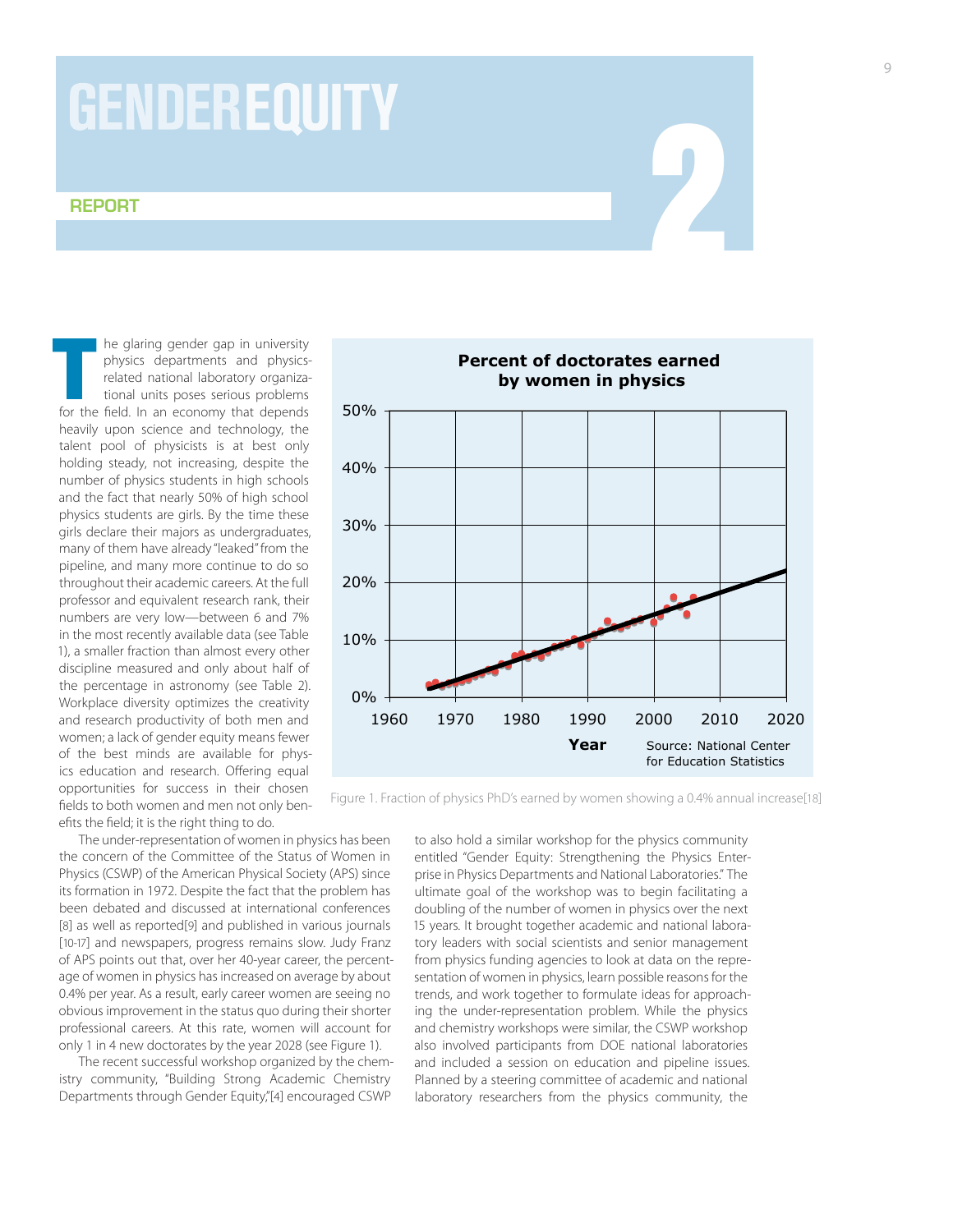# **REPORT AND REPORT AND REPORT AND REPORT AND REPORT AND REPORT AND REPORT AND REPORT AND REPORT AND RE**

The glaring gender gap in university physics departments and physics-<br>related national laboratory organizational units poses serious problems<br>for the field. In an economy that depends physics departments and physicsrelated national laboratory organizational units poses serious problems heavily upon science and technology, the talent pool of physicists is at best only holding steady, not increasing, despite the number of physics students in high schools and the fact that nearly 50% of high school physics students are girls. By the time these girls declare their majors as undergraduates, many of them have already "leaked" from the pipeline, and many more continue to do so throughout their academic careers. At the full professor and equivalent research rank, their numbers are very low—between 6 and 7% in the most recently available data (see Table 1), a smaller fraction than almost every other discipline measured and only about half of the percentage in astronomy (see Table 2). Workplace diversity optimizes the creativity and research productivity of both men and women; a lack of gender equity means fewer of the best minds are available for physics education and research. Offering equal opportunities for success in their chosen fields to both women and men not only benefits the field; it is the right thing to do.

The under-representation of women in physics has been the concern of the Committee of the Status of Women in Physics (CSWP) of the American Physical Society (APS) since its formation in 1972. Despite the fact that the problem has been debated and discussed at international conferences [8] as well as reported[9] and published in various journals [10-17] and newspapers, progress remains slow. Judy Franz of APS points out that, over her 40-year career, the percentage of women in physics has increased on average by about 0.4% per year. As a result, early career women are seeing no obvious improvement in the status quo during their shorter professional careers. At this rate, women will account for only 1 in 4 new doctorates by the year 2028 (see Figure 1).

The recent successful workshop organized by the chemistry community, "Building Strong Academic Chemistry Departments through Gender Equity,"[4] encouraged CSWP



Figure 1. Fraction of physics PhD's earned by women showing a 0.4% annual increase[18]

to also hold a similar workshop for the physics community entitled "Gender Equity: Strengthening the Physics Enterprise in Physics Departments and National Laboratories." The ultimate goal of the workshop was to begin facilitating a doubling of the number of women in physics over the next 15 years. It brought together academic and national laboratory leaders with social scientists and senior management from physics funding agencies to look at data on the representation of women in physics, learn possible reasons for the trends, and work together to formulate ideas for approaching the under-representation problem. While the physics and chemistry workshops were similar, the CSWP workshop also involved participants from DOE national laboratories and included a session on education and pipeline issues. Planned by a steering committee of academic and national laboratory researchers from the physics community, the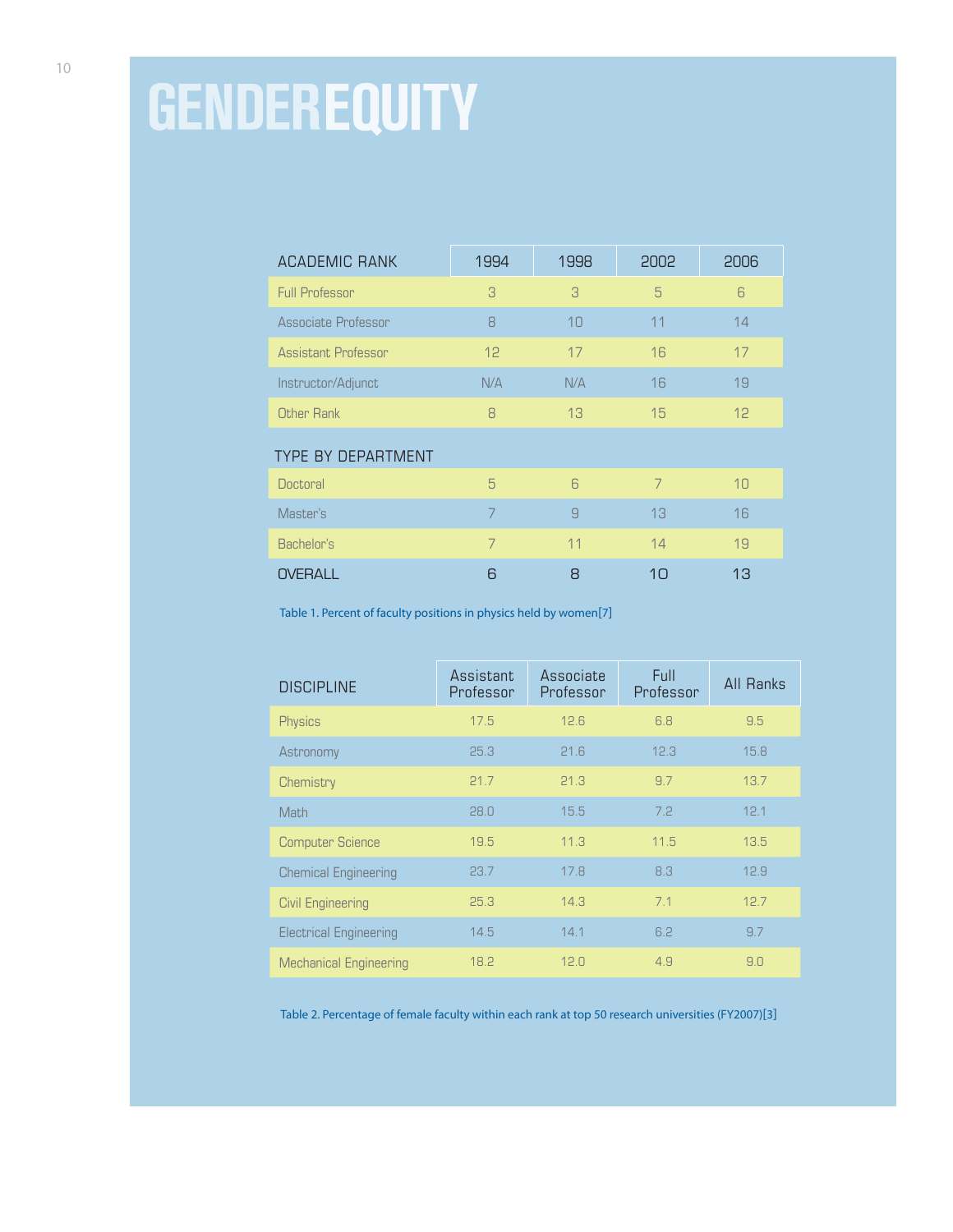| <b>ACADEMIC RANK</b>       | 1994           | 1998 | 2002           | 2006 |
|----------------------------|----------------|------|----------------|------|
| <b>Full Professor</b>      | 3              | 3    | $\overline{5}$ | 6    |
| Associate Professor        | 8              | 10   | 11             | 14   |
| <b>Assistant Professor</b> | 12             | 17   | 16             | 17   |
| Instructor/Adjunct         | N/A            | N/A  | 16             | 19   |
| Other Rank                 | 8              | 13   | 15             | 12   |
| TYPE BY DEPARTMENT         |                |      |                |      |
| <b>Doctoral</b>            | 5              | 6    | $\overline{7}$ | 10   |
| Master's                   | 7              | 9    | 13             | 16   |
| Bachelor's                 | $\overline{7}$ | 11   | 14             | 19   |
| <b>OVERALL</b>             | 6              | 8    | $1\Omega$      | 13   |

Table 1. Percent of faculty positions in physics held by women[7]

| <b>DISCIPLINE</b>             | Assistant<br>Professor | Associate<br>Professor | Full<br>Professor | All Ranks |
|-------------------------------|------------------------|------------------------|-------------------|-----------|
| <b>Physics</b>                | 17.5                   | 12.6                   | 6.8               | 9.5       |
| Astronomy                     | 25.3                   | 21.6                   | 12.3              | 15.8      |
| Chemistry                     | 21.7                   | 21.3                   | 9.7               | 13.7      |
| Math                          | 28.0                   | 15.5                   | 7.2               | 12.1      |
| <b>Computer Science</b>       | 19.5                   | 11.3                   | 11.5              | 13.5      |
| <b>Chemical Engineering</b>   | 23.7                   | 17.8                   | 8.3               | 12.9      |
| <b>Civil Engineering</b>      | 25.3                   | 14.3                   | 7.1               | 12.7      |
| <b>Electrical Engineering</b> | 14.5                   | 14.1                   | 6.2               | 9.7       |
| <b>Mechanical Engineering</b> | 18.2                   | 12.0                   | 4.9               | 9.0       |

Table 2. Percentage of female faculty within each rank at top 50 research universities (FY2007)[3]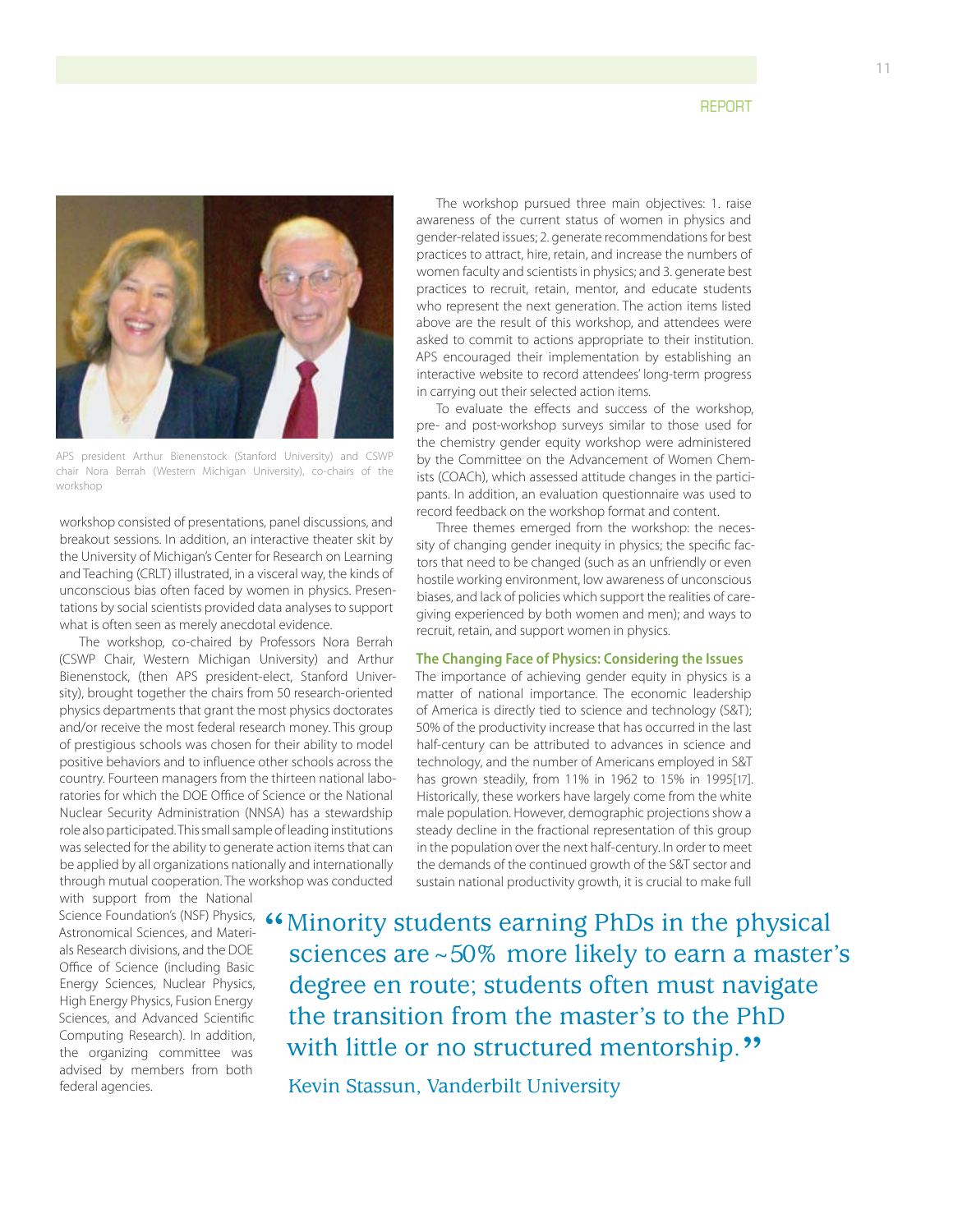

APS president Arthur Bienenstock (Stanford University) and CSWP chair Nora Berrah (Western Michigan University), co-chairs of the workshop

workshop consisted of presentations, panel discussions, and breakout sessions. In addition, an interactive theater skit by the University of Michigan's Center for Research on Learning and Teaching (CRLT) illustrated, in a visceral way, the kinds of unconscious bias often faced by women in physics. Presentations by social scientists provided data analyses to support what is often seen as merely anecdotal evidence.

The workshop, co-chaired by Professors Nora Berrah (CSWP Chair, Western Michigan University) and Arthur Bienenstock, (then APS president-elect, Stanford University), brought together the chairs from 50 research-oriented physics departments that grant the most physics doctorates and/or receive the most federal research money. This group of prestigious schools was chosen for their ability to model positive behaviors and to influence other schools across the country. Fourteen managers from the thirteen national laboratories for which the DOE Office of Science or the National Nuclear Security Administration (NNSA) has a stewardship role also participated. This small sample of leading institutions was selected for the ability to generate action items that can be applied by all organizations nationally and internationally through mutual cooperation. The workshop was conducted

with support from the National Science Foundation's (NSF) Physics, Astronomical Sciences, and Materials Research divisions, and the DOE Office of Science (including Basic Energy Sciences, Nuclear Physics, High Energy Physics, Fusion Energy Sciences, and Advanced Scientific Computing Research). In addition, the organizing committee was advised by members from both federal agencies.

The workshop pursued three main objectives: 1. raise awareness of the current status of women in physics and gender-related issues; 2. generate recommendations for best practices to attract, hire, retain, and increase the numbers of women faculty and scientists in physics; and 3. generate best practices to recruit, retain, mentor, and educate students who represent the next generation. The action items listed above are the result of this workshop, and attendees were asked to commit to actions appropriate to their institution. APS encouraged their implementation by establishing an interactive website to record attendees' long-term progress in carrying out their selected action items.

To evaluate the effects and success of the workshop, pre- and post-workshop surveys similar to those used for the chemistry gender equity workshop were administered by the Committee on the Advancement of Women Chemists (COACh), which assessed attitude changes in the participants. In addition, an evaluation questionnaire was used to record feedback on the workshop format and content.

Three themes emerged from the workshop: the necessity of changing gender inequity in physics; the specific factors that need to be changed (such as an unfriendly or even hostile working environment, low awareness of unconscious biases, and lack of policies which support the realities of caregiving experienced by both women and men); and ways to recruit, retain, and support women in physics.

# **The Changing Face of Physics: Considering the Issues**

The importance of achieving gender equity in physics is a matter of national importance. The economic leadership of America is directly tied to science and technology (S&T); 50% of the productivity increase that has occurred in the last half-century can be attributed to advances in science and technology, and the number of Americans employed in S&T has grown steadily, from 11% in 1962 to 15% in 1995[17]. Historically, these workers have largely come from the white male population. However, demographic projections show a steady decline in the fractional representation of this group in the population over the next half-century. In order to meet the demands of the continued growth of the S&T sector and sustain national productivity growth, it is crucial to make full

"Minority students earning PhDs in the physical sciences are  $\sim$  50% more likely to earn a master" sciences are ~50% more likely to earn a master's degree en route; students often must navigate the transition from the master's to the PhD with little or no structured mentorship."

Kevin Stassun, Vanderbilt University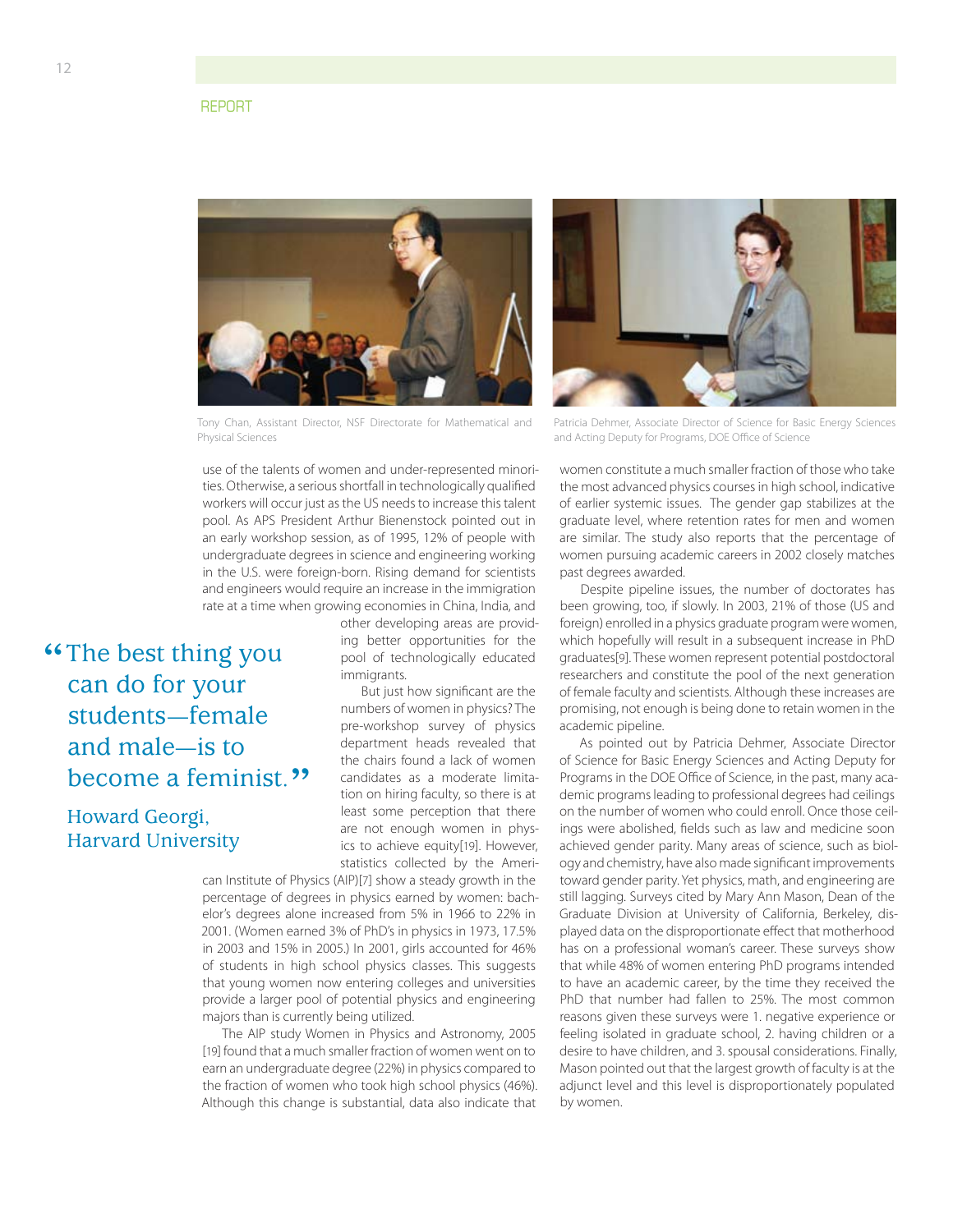



Tony Chan, Assistant Director, NSF Directorate for Mathematical and Physical Sciences

Patricia Dehmer, Associate Director of Science for Basic Energy Sciences and Acting Deputy for Programs, DOE Office of Science

use of the talents of women and under-represented minorities. Otherwise, a serious shortfall in technologically qualified workers will occur just as the US needs to increase this talent pool. As APS President Arthur Bienenstock pointed out in an early workshop session, as of 1995, 12% of people with undergraduate degrees in science and engineering working in the U.S. were foreign-born. Rising demand for scientists and engineers would require an increase in the immigration rate at a time when growing economies in China, India, and

other developing areas are providing better opportunities for the pool of technologically educated immigrants.

But just how significant are the numbers of women in physics? The pre-workshop survey of physics department heads revealed that the chairs found a lack of women candidates as a moderate limitation on hiring faculty, so there is at least some perception that there are not enough women in physics to achieve equity[19]. However, statistics collected by the Ameri-

can Institute of Physics (AIP)[7] show a steady growth in the percentage of degrees in physics earned by women: bachelor's degrees alone increased from 5% in 1966 to 22% in 2001. (Women earned 3% of PhD's in physics in 1973, 17.5% in 2003 and 15% in 2005.) In 2001, girls accounted for 46% of students in high school physics classes. This suggests that young women now entering colleges and universities provide a larger pool of potential physics and engineering majors than is currently being utilized.

The AIP study Women in Physics and Astronomy, 2005 [19] found that a much smaller fraction of women went on to earn an undergraduate degree (22%) in physics compared to the fraction of women who took high school physics (46%). Although this change is substantial, data also indicate that

women constitute a much smaller fraction of those who take the most advanced physics courses in high school, indicative of earlier systemic issues. The gender gap stabilizes at the graduate level, where retention rates for men and women are similar. The study also reports that the percentage of women pursuing academic careers in 2002 closely matches past degrees awarded.

Despite pipeline issues, the number of doctorates has been growing, too, if slowly. In 2003, 21% of those (US and foreign) enrolled in a physics graduate program were women, which hopefully will result in a subsequent increase in PhD graduates[9]. These women represent potential postdoctoral researchers and constitute the pool of the next generation of female faculty and scientists. Although these increases are promising, not enough is being done to retain women in the academic pipeline.

As pointed out by Patricia Dehmer, Associate Director of Science for Basic Energy Sciences and Acting Deputy for Programs in the DOE Office of Science, in the past, many academic programs leading to professional degrees had ceilings on the number of women who could enroll. Once those ceilings were abolished, fields such as law and medicine soon achieved gender parity. Many areas of science, such as biology and chemistry, have also made significant improvements toward gender parity. Yet physics, math, and engineering are still lagging. Surveys cited by Mary Ann Mason, Dean of the Graduate Division at University of California, Berkeley, displayed data on the disproportionate effect that motherhood has on a professional woman's career. These surveys show that while 48% of women entering PhD programs intended to have an academic career, by the time they received the PhD that number had fallen to 25%. The most common reasons given these surveys were 1. negative experience or feeling isolated in graduate school, 2. having children or a desire to have children, and 3. spousal considerations. Finally, Mason pointed out that the largest growth of faculty is at the adjunct level and this level is disproportionately populated by women.

"The best thing you can do for your students—female and male—is to become a feminist."

# Howard Georgi, Harvard University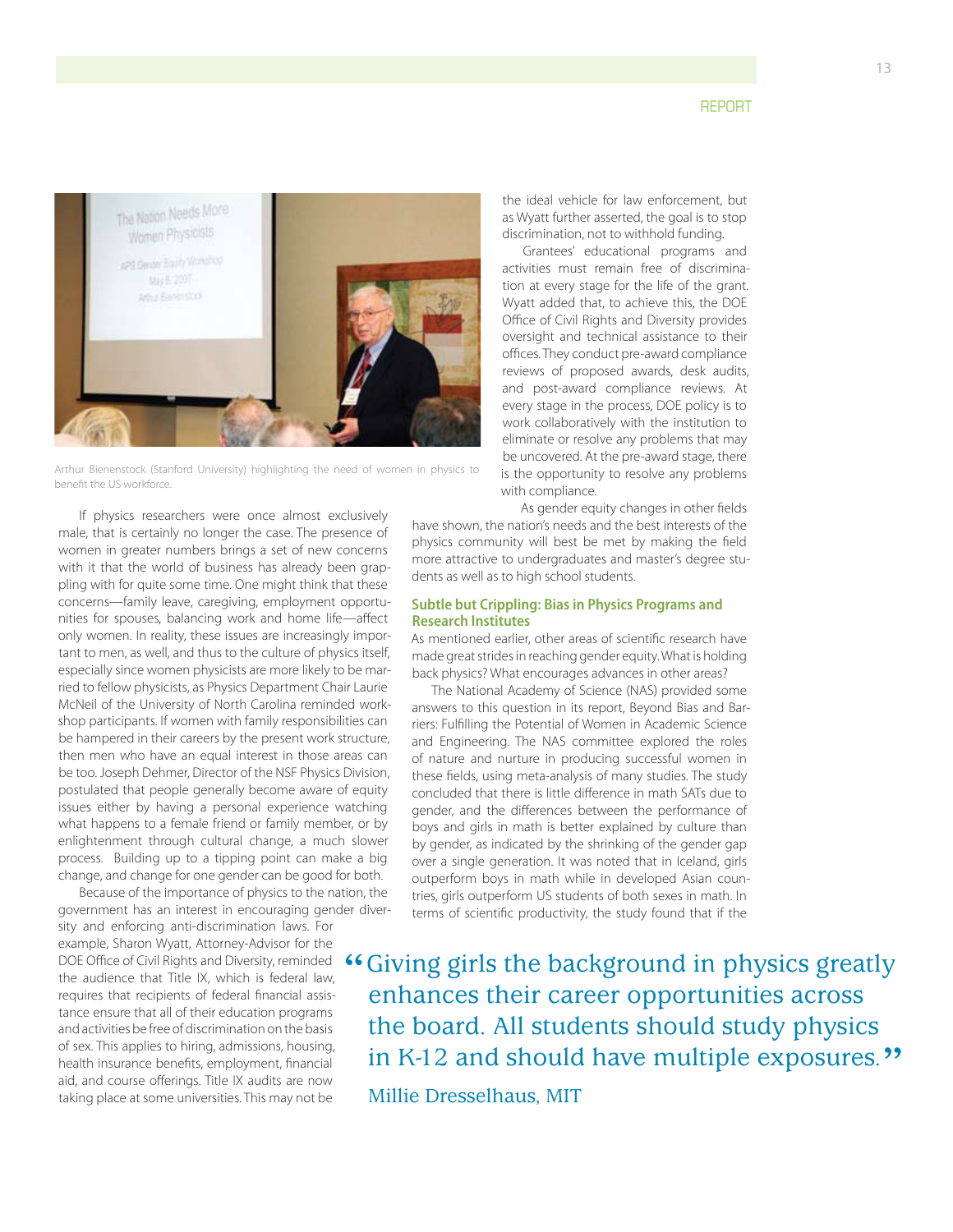

Arthur Bienenstock (Stanford University) highlighting the need of women in physics to benefit the US workforce.

If physics researchers were once almost exclusively male, that is certainly no longer the case. The presence of women in greater numbers brings a set of new concerns with it that the world of business has already been grappling with for quite some time. One might think that these concerns—family leave, caregiving, employment opportunities for spouses, balancing work and home life—affect only women. In reality, these issues are increasingly important to men, as well, and thus to the culture of physics itself, especially since women physicists are more likely to be married to fellow physicists, as Physics Department Chair Laurie McNeil of the University of North Carolina reminded workshop participants. If women with family responsibilities can be hampered in their careers by the present work structure, then men who have an equal interest in those areas can be too. Joseph Dehmer, Director of the NSF Physics Division, postulated that people generally become aware of equity issues either by having a personal experience watching what happens to a female friend or family member, or by enlightenment through cultural change, a much slower process. Building up to a tipping point can make a big change, and change for one gender can be good for both.

Because of the importance of physics to the nation, the government has an interest in encouraging gender diversity and enforcing anti-discrimination laws. For example, Sharon Wyatt, Attorney-Advisor for the DOE Office of Civil Rights and Diversity, reminded the audience that Title IX, which is federal law, requires that recipients of federal financial assistance ensure that all of their education programs and activities be free of discrimination on the basis of sex. This applies to hiring, admissions, housing, health insurance benefits, employment, financial aid, and course offerings. Title IX audits are now taking place at some universities. This may not be

the ideal vehicle for law enforcement, but as Wyatt further asserted, the goal is to stop discrimination, not to withhold funding.

Grantees' educational programs and activities must remain free of discrimination at every stage for the life of the grant. Wyatt added that, to achieve this, the DOE Office of Civil Rights and Diversity provides oversight and technical assistance to their offices. They conduct pre-award compliance reviews of proposed awards, desk audits, and post-award compliance reviews. At every stage in the process, DOE policy is to work collaboratively with the institution to eliminate or resolve any problems that may be uncovered. At the pre-award stage, there is the opportunity to resolve any problems with compliance.

As gender equity changes in other fields have shown, the nation's needs and the best interests of the physics community will best be met by making the field more attractive to undergraduates and master's degree students as well as to high school students.

# **Subtle but Crippling: Bias in Physics Programs and Research Institutes**

As mentioned earlier, other areas of scientific research have made great strides in reaching gender equity. What is holding back physics? What encourages advances in other areas?

The National Academy of Science (NAS) provided some answers to this question in its report, Beyond Bias and Barriers: Fulfilling the Potential of Women in Academic Science and Engineering. The NAS committee explored the roles of nature and nurture in producing successful women in these fields, using meta-analysis of many studies. The study concluded that there is little difference in math SATs due to gender, and the differences between the performance of boys and girls in math is better explained by culture than by gender, as indicated by the shrinking of the gender gap over a single generation. It was noted that in Iceland, girls outperform boys in math while in developed Asian countries, girls outperform US students of both sexes in math. In terms of scientific productivity, the study found that if the

"Giving girls the background in physics greatly enhances their career opportunities across the board. All students should study physics in K-12 and should have multiple exposures."

Millie Dresselhaus, MIT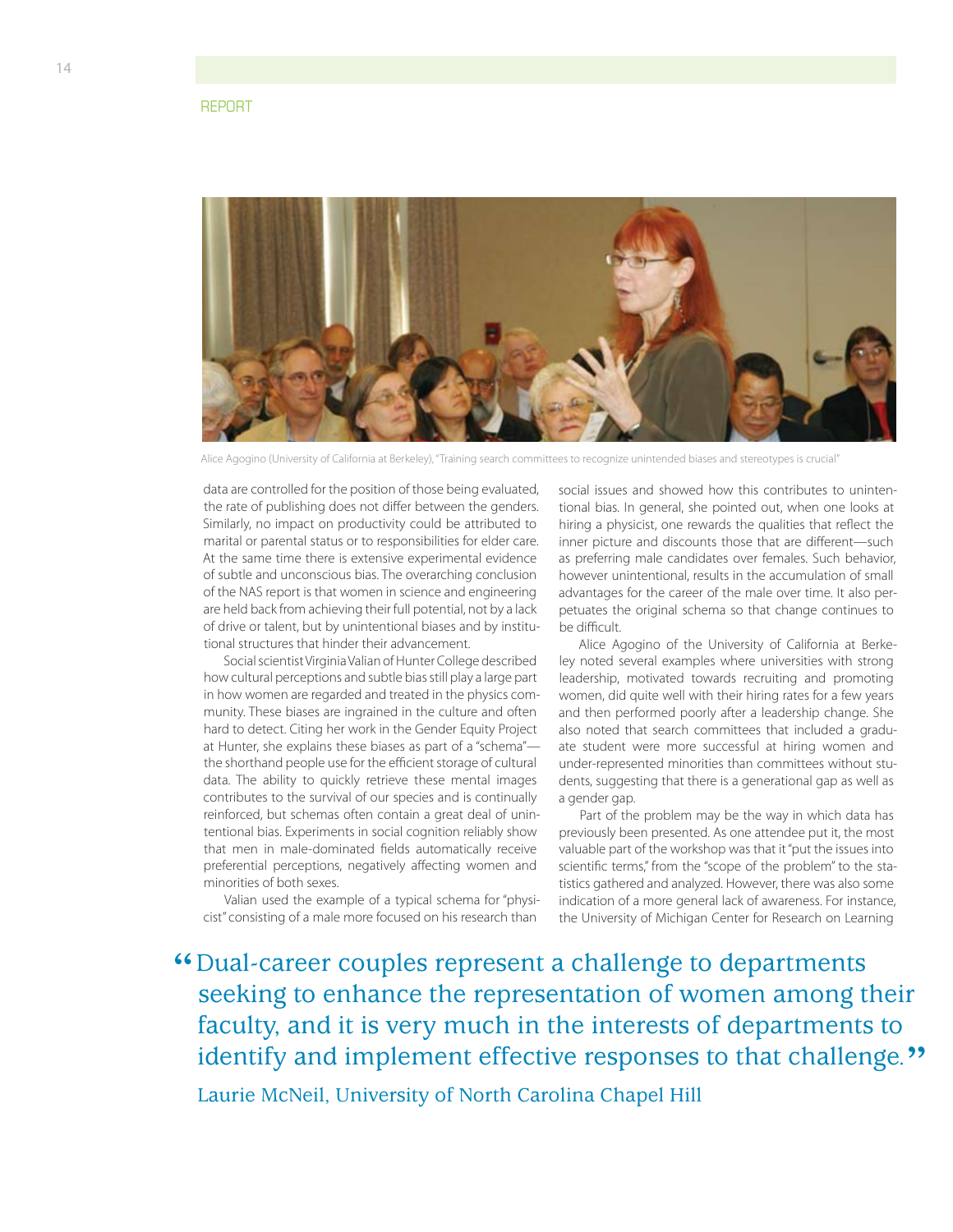

Alice Agogino (University of California at Berkeley), "Training search committees to recognize unintended biases and stereotypes is crucial"

data are controlled for the position of those being evaluated, the rate of publishing does not differ between the genders. Similarly, no impact on productivity could be attributed to marital or parental status or to responsibilities for elder care. At the same time there is extensive experimental evidence of subtle and unconscious bias. The overarching conclusion of the NAS report is that women in science and engineering are held back from achieving their full potential, not by a lack of drive or talent, but by unintentional biases and by institutional structures that hinder their advancement.

Social scientist Virginia Valian of Hunter College described how cultural perceptions and subtle bias still play a large part in how women are regarded and treated in the physics community. These biases are ingrained in the culture and often hard to detect. Citing her work in the Gender Equity Project at Hunter, she explains these biases as part of a "schema" the shorthand people use for the efficient storage of cultural data. The ability to quickly retrieve these mental images contributes to the survival of our species and is continually reinforced, but schemas often contain a great deal of unintentional bias. Experiments in social cognition reliably show that men in male-dominated fields automatically receive preferential perceptions, negatively affecting women and minorities of both sexes.

Valian used the example of a typical schema for "physicist" consisting of a male more focused on his research than

social issues and showed how this contributes to unintentional bias. In general, she pointed out, when one looks at hiring a physicist, one rewards the qualities that reflect the inner picture and discounts those that are different—such as preferring male candidates over females. Such behavior, however unintentional, results in the accumulation of small advantages for the career of the male over time. It also perpetuates the original schema so that change continues to be difficult.

Alice Agogino of the University of California at Berkeley noted several examples where universities with strong leadership, motivated towards recruiting and promoting women, did quite well with their hiring rates for a few years and then performed poorly after a leadership change. She also noted that search committees that included a graduate student were more successful at hiring women and under-represented minorities than committees without students, suggesting that there is a generational gap as well as a gender gap.

Part of the problem may be the way in which data has previously been presented. As one attendee put it, the most valuable part of the workshop was that it "put the issues into scientific terms," from the "scope of the problem" to the statistics gathered and analyzed. However, there was also some indication of a more general lack of awareness. For instance, the University of Michigan Center for Research on Learning

"Dual-career couples represent a challenge to departments seeking to enhance the representation of women among their faculty, and it is very much in the interests of departments to identify and implement effective responses to that challenge."

Laurie McNeil, University of North Carolina Chapel Hill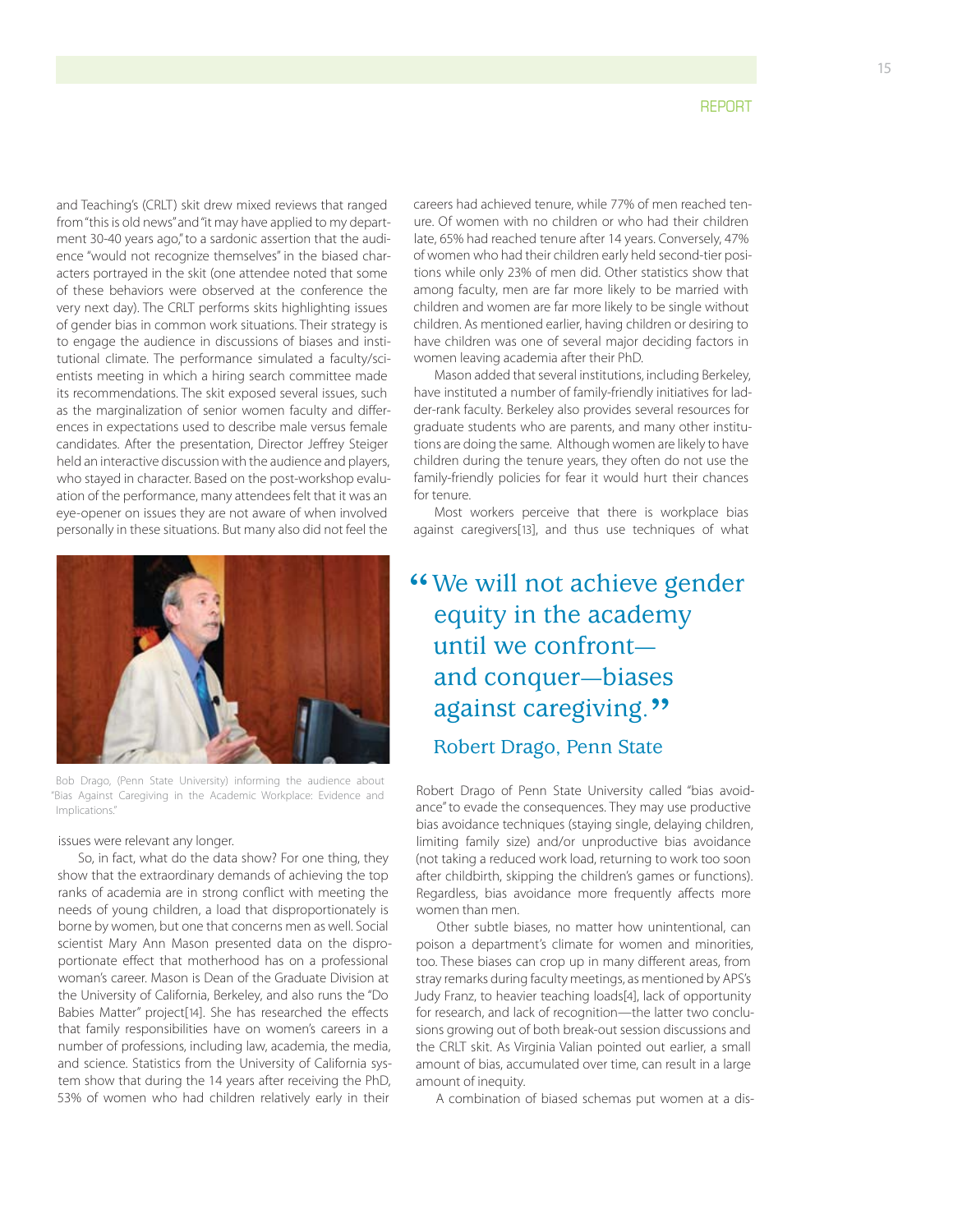and Teaching's (CRLT) skit drew mixed reviews that ranged from "this is old news" and "it may have applied to my department 30-40 years ago," to a sardonic assertion that the audience "would not recognize themselves" in the biased characters portrayed in the skit (one attendee noted that some of these behaviors were observed at the conference the very next day). The CRLT performs skits highlighting issues of gender bias in common work situations. Their strategy is to engage the audience in discussions of biases and institutional climate. The performance simulated a faculty/scientists meeting in which a hiring search committee made its recommendations. The skit exposed several issues, such as the marginalization of senior women faculty and differences in expectations used to describe male versus female candidates. After the presentation, Director Jeffrey Steiger held an interactive discussion with the audience and players, who stayed in character. Based on the post-workshop evaluation of the performance, many attendees felt that it was an eye-opener on issues they are not aware of when involved personally in these situations. But many also did not feel the



Bob Drago, (Penn State University) informing the audience about "Bias Against Caregiving in the Academic Workplace: Evidence and Implications."

# issues were relevant any longer.

So, in fact, what do the data show? For one thing, they show that the extraordinary demands of achieving the top ranks of academia are in strong conflict with meeting the needs of young children, a load that disproportionately is borne by women, but one that concerns men as well. Social scientist Mary Ann Mason presented data on the disproportionate effect that motherhood has on a professional woman's career. Mason is Dean of the Graduate Division at the University of California, Berkeley, and also runs the "Do Babies Matter" project[14]. She has researched the effects that family responsibilities have on women's careers in a number of professions, including law, academia, the media, and science. Statistics from the University of California system show that during the 14 years after receiving the PhD, 53% of women who had children relatively early in their

careers had achieved tenure, while 77% of men reached tenure. Of women with no children or who had their children late, 65% had reached tenure after 14 years. Conversely, 47% of women who had their children early held second-tier positions while only 23% of men did. Other statistics show that among faculty, men are far more likely to be married with children and women are far more likely to be single without children. As mentioned earlier, having children or desiring to have children was one of several major deciding factors in women leaving academia after their PhD.

Mason added that several institutions, including Berkeley, have instituted a number of family-friendly initiatives for ladder-rank faculty. Berkeley also provides several resources for graduate students who are parents, and many other institutions are doing the same. Although women are likely to have children during the tenure years, they often do not use the family-friendly policies for fear it would hurt their chances for tenure.

Most workers perceive that there is workplace bias against caregivers[13], and thus use techniques of what

# "We will not achieve gender equity in the academy until we confront and conquer—biases against caregiving." Robert Drago, Penn State

Robert Drago of Penn State University called "bias avoidance" to evade the consequences. They may use productive bias avoidance techniques (staying single, delaying children, limiting family size) and/or unproductive bias avoidance (not taking a reduced work load, returning to work too soon after childbirth, skipping the children's games or functions). Regardless, bias avoidance more frequently affects more women than men.

Other subtle biases, no matter how unintentional, can poison a department's climate for women and minorities, too. These biases can crop up in many different areas, from stray remarks during faculty meetings, as mentioned by APS's Judy Franz, to heavier teaching loads[4], lack of opportunity for research, and lack of recognition—the latter two conclusions growing out of both break-out session discussions and the CRLT skit. As Virginia Valian pointed out earlier, a small amount of bias, accumulated over time, can result in a large amount of inequity.

A combination of biased schemas put women at a dis-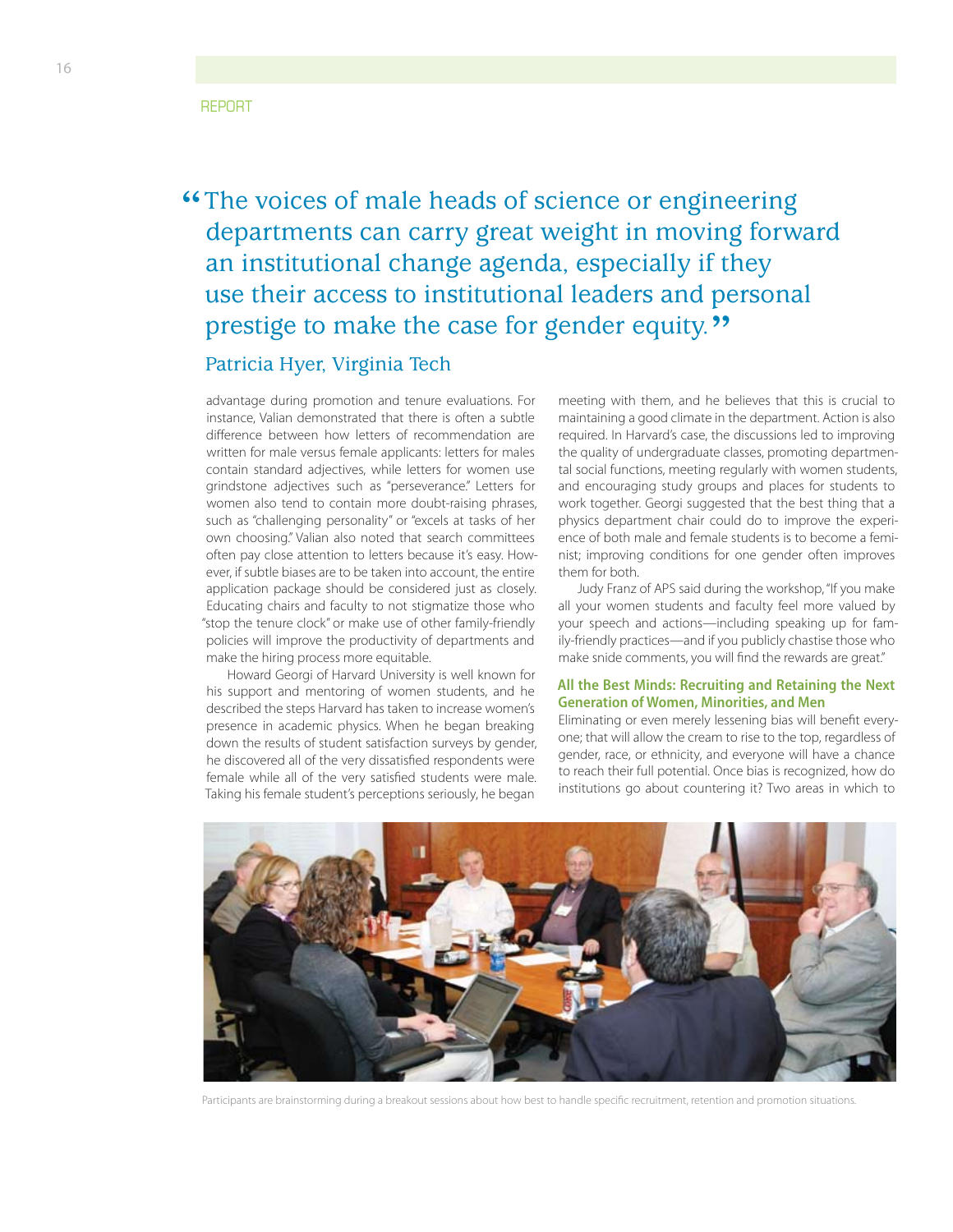# "The voices of male heads of science or engineering" departments can carry great weight in moving forward an institutional change agenda, especially if they use their access to institutional leaders and personal prestige to make the case for gender equity."

# Patricia Hyer, Virginia Tech

advantage during promotion and tenure evaluations. For instance, Valian demonstrated that there is often a subtle difference between how letters of recommendation are written for male versus female applicants: letters for males contain standard adjectives, while letters for women use grindstone adjectives such as "perseverance." Letters for women also tend to contain more doubt-raising phrases, such as "challenging personality" or "excels at tasks of her own choosing." Valian also noted that search committees often pay close attention to letters because it's easy. However, if subtle biases are to be taken into account, the entire application package should be considered just as closely. Educating chairs and faculty to not stigmatize those who "stop the tenure clock" or make use of other family-friendly policies will improve the productivity of departments and make the hiring process more equitable.

Howard Georgi of Harvard University is well known for his support and mentoring of women students, and he described the steps Harvard has taken to increase women's presence in academic physics. When he began breaking down the results of student satisfaction surveys by gender, he discovered all of the very dissatisfied respondents were female while all of the very satisfied students were male. Taking his female student's perceptions seriously, he began

meeting with them, and he believes that this is crucial to maintaining a good climate in the department. Action is also required. In Harvard's case, the discussions led to improving the quality of undergraduate classes, promoting departmental social functions, meeting regularly with women students, and encouraging study groups and places for students to work together. Georgi suggested that the best thing that a physics department chair could do to improve the experience of both male and female students is to become a feminist; improving conditions for one gender often improves them for both.

Judy Franz of APS said during the workshop, "If you make all your women students and faculty feel more valued by your speech and actions—including speaking up for family-friendly practices—and if you publicly chastise those who make snide comments, you will find the rewards are great."

# **All the Best Minds: Recruiting and Retaining the Next Generation of Women, Minorities, and Men**

Eliminating or even merely lessening bias will benefit everyone; that will allow the cream to rise to the top, regardless of gender, race, or ethnicity, and everyone will have a chance to reach their full potential. Once bias is recognized, how do institutions go about countering it? Two areas in which to



Participants are brainstorming during a breakout sessions about how best to handle specific recruitment, retention and promotion situations.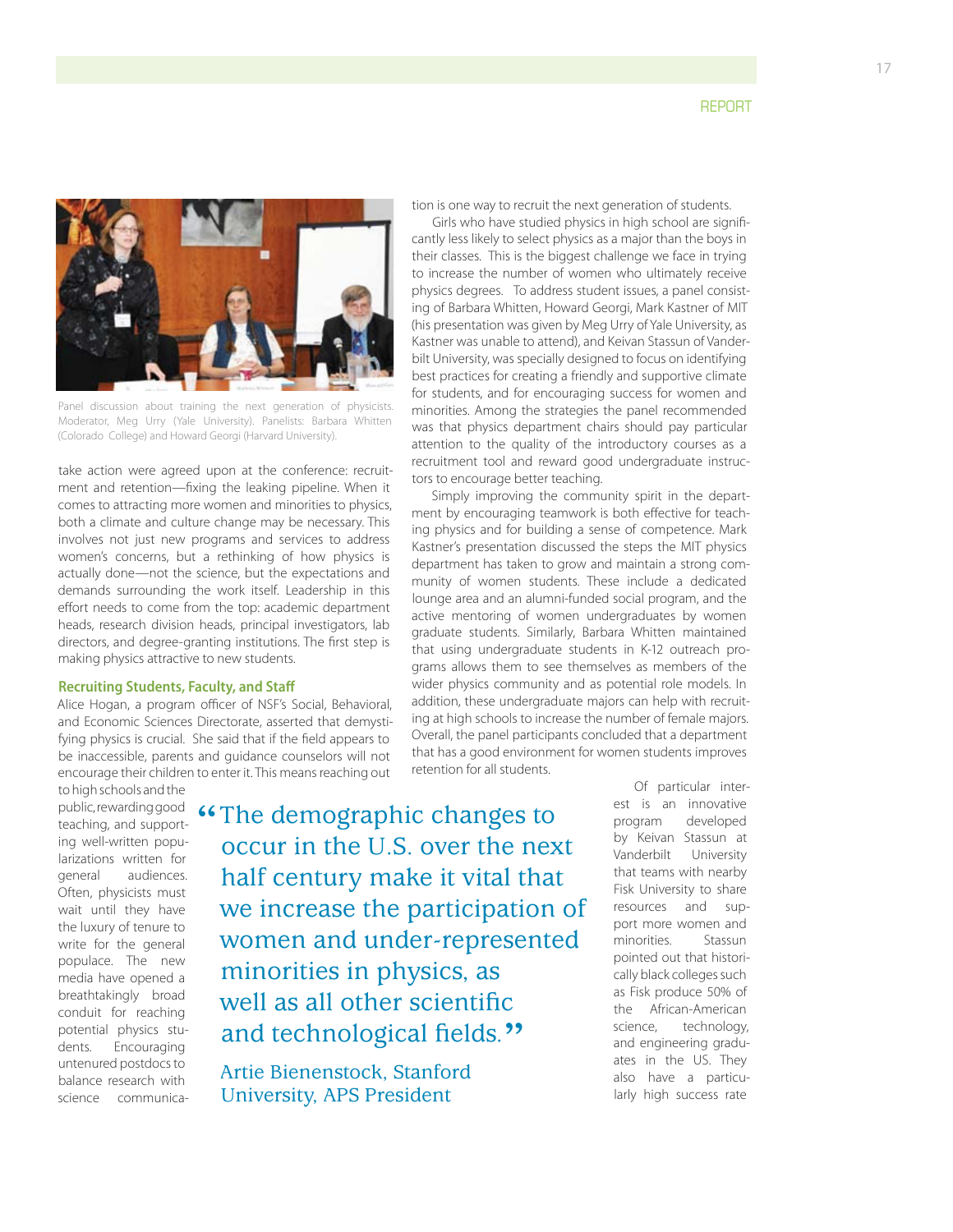

Panel discussion about training the next generation of physicists. Moderator, Meg Urry (Yale University). Panelists: Barbara Whitten (Colorado College) and Howard Georgi (Harvard University).

take action were agreed upon at the conference: recruitment and retention—fixing the leaking pipeline. When it comes to attracting more women and minorities to physics, both a climate and culture change may be necessary. This involves not just new programs and services to address women's concerns, but a rethinking of how physics is actually done—not the science, but the expectations and demands surrounding the work itself. Leadership in this effort needs to come from the top: academic department heads, research division heads, principal investigators, lab directors, and degree-granting institutions. The first step is making physics attractive to new students.

# **Recruiting Students, Faculty, and Staff**

Alice Hogan, a program officer of NSF's Social, Behavioral, and Economic Sciences Directorate, asserted that demystifying physics is crucial. She said that if the field appears to be inaccessible, parents and guidance counselors will not encourage their children to enter it. This means reaching out to high schools and the

public, rewarding good teaching, and supporting well-written popularizations written for general audiences. Often, physicists must wait until they have the luxury of tenure to write for the general populace. The new media have opened a breathtakingly broad conduit for reaching potential physics students. Encouraging untenured postdocs to balance research with science communica-

"The demographic changes to<br>occur in the U.S. over the next occur in the U.S. over the next half century make it vital that we increase the participation of women and under-represented minorities in physics, as well as all other scientific and technological fields."

Artie Bienenstock, Stanford University, APS President

tion is one way to recruit the next generation of students.

Girls who have studied physics in high school are significantly less likely to select physics as a major than the boys in their classes. This is the biggest challenge we face in trying to increase the number of women who ultimately receive physics degrees. To address student issues, a panel consisting of Barbara Whitten, Howard Georgi, Mark Kastner of MIT (his presentation was given by Meg Urry of Yale University, as Kastner was unable to attend), and Keivan Stassun of Vanderbilt University, was specially designed to focus on identifying best practices for creating a friendly and supportive climate for students, and for encouraging success for women and minorities. Among the strategies the panel recommended was that physics department chairs should pay particular attention to the quality of the introductory courses as a recruitment tool and reward good undergraduate instructors to encourage better teaching.

Simply improving the community spirit in the department by encouraging teamwork is both effective for teaching physics and for building a sense of competence. Mark Kastner's presentation discussed the steps the MIT physics department has taken to grow and maintain a strong community of women students. These include a dedicated lounge area and an alumni-funded social program, and the active mentoring of women undergraduates by women graduate students. Similarly, Barbara Whitten maintained that using undergraduate students in K-12 outreach programs allows them to see themselves as members of the wider physics community and as potential role models. In addition, these undergraduate majors can help with recruiting at high schools to increase the number of female majors. Overall, the panel participants concluded that a department that has a good environment for women students improves retention for all students.

> Of particular interest is an innovative program developed by Keivan Stassun at Vanderbilt University that teams with nearby Fisk University to share resources and support more women and minorities. Stassun pointed out that historically black colleges such as Fisk produce 50% of the African-American science, technology, and engineering graduates in the US. They also have a particularly high success rate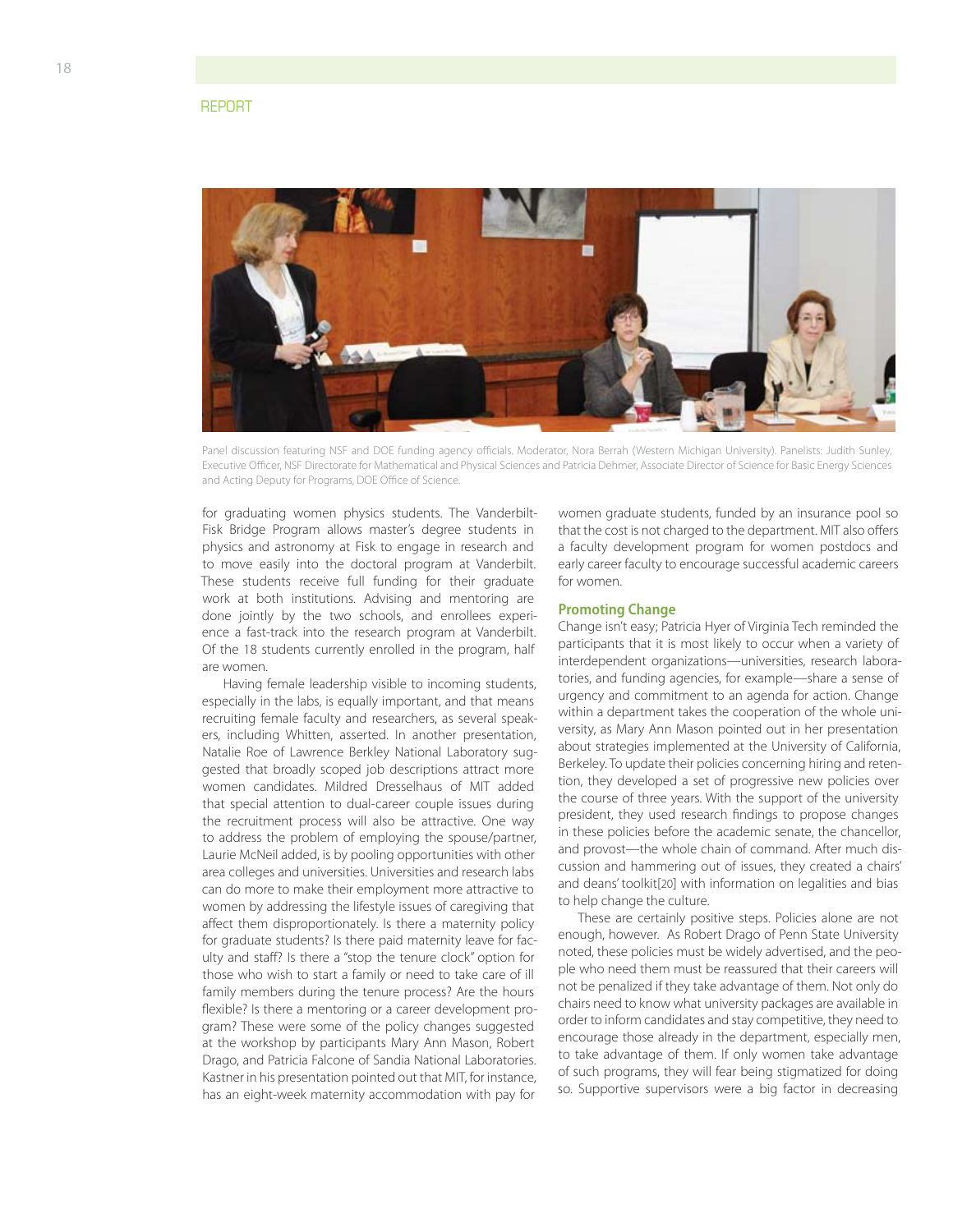

Panel discussion featuring NSF and DOE funding agency officials. Moderator, Nora Berrah (Western Michigan University). Panelists: Judith Sunley, Executive Officer, NSF Directorate for Mathematical and Physical Sciences and Patricia Dehmer, Associate Director of Science for Basic Energy Sciences and Acting Deputy for Programs, DOE Office of Science.

for graduating women physics students. The Vanderbilt-Fisk Bridge Program allows master's degree students in physics and astronomy at Fisk to engage in research and to move easily into the doctoral program at Vanderbilt. These students receive full funding for their graduate work at both institutions. Advising and mentoring are done jointly by the two schools, and enrollees experience a fast-track into the research program at Vanderbilt. Of the 18 students currently enrolled in the program, half are women.

Having female leadership visible to incoming students, especially in the labs, is equally important, and that means recruiting female faculty and researchers, as several speakers, including Whitten, asserted. In another presentation, Natalie Roe of Lawrence Berkley National Laboratory suggested that broadly scoped job descriptions attract more women candidates. Mildred Dresselhaus of MIT added that special attention to dual-career couple issues during the recruitment process will also be attractive. One way to address the problem of employing the spouse/partner, Laurie McNeil added, is by pooling opportunities with other area colleges and universities. Universities and research labs can do more to make their employment more attractive to women by addressing the lifestyle issues of caregiving that affect them disproportionately. Is there a maternity policy for graduate students? Is there paid maternity leave for faculty and staff? Is there a "stop the tenure clock" option for those who wish to start a family or need to take care of ill family members during the tenure process? Are the hours flexible? Is there a mentoring or a career development program? These were some of the policy changes suggested at the workshop by participants Mary Ann Mason, Robert Drago, and Patricia Falcone of Sandia National Laboratories. Kastner in his presentation pointed out that MIT, for instance, has an eight-week maternity accommodation with pay for

women graduate students, funded by an insurance pool so that the cost is not charged to the department. MIT also offers a faculty development program for women postdocs and early career faculty to encourage successful academic careers for women.

# **Promoting Change**

Change isn't easy; Patricia Hyer of Virginia Tech reminded the participants that it is most likely to occur when a variety of interdependent organizations—universities, research laboratories, and funding agencies, for example—share a sense of urgency and commitment to an agenda for action. Change within a department takes the cooperation of the whole university, as Mary Ann Mason pointed out in her presentation about strategies implemented at the University of California, Berkeley. To update their policies concerning hiring and retention, they developed a set of progressive new policies over the course of three years. With the support of the university president, they used research findings to propose changes in these policies before the academic senate, the chancellor, and provost—the whole chain of command. After much discussion and hammering out of issues, they created a chairs' and deans' toolkit[20] with information on legalities and bias to help change the culture.

These are certainly positive steps. Policies alone are not enough, however. As Robert Drago of Penn State University noted, these policies must be widely advertised, and the people who need them must be reassured that their careers will not be penalized if they take advantage of them. Not only do chairs need to know what university packages are available in order to inform candidates and stay competitive, they need to encourage those already in the department, especially men, to take advantage of them. If only women take advantage of such programs, they will fear being stigmatized for doing so. Supportive supervisors were a big factor in decreasing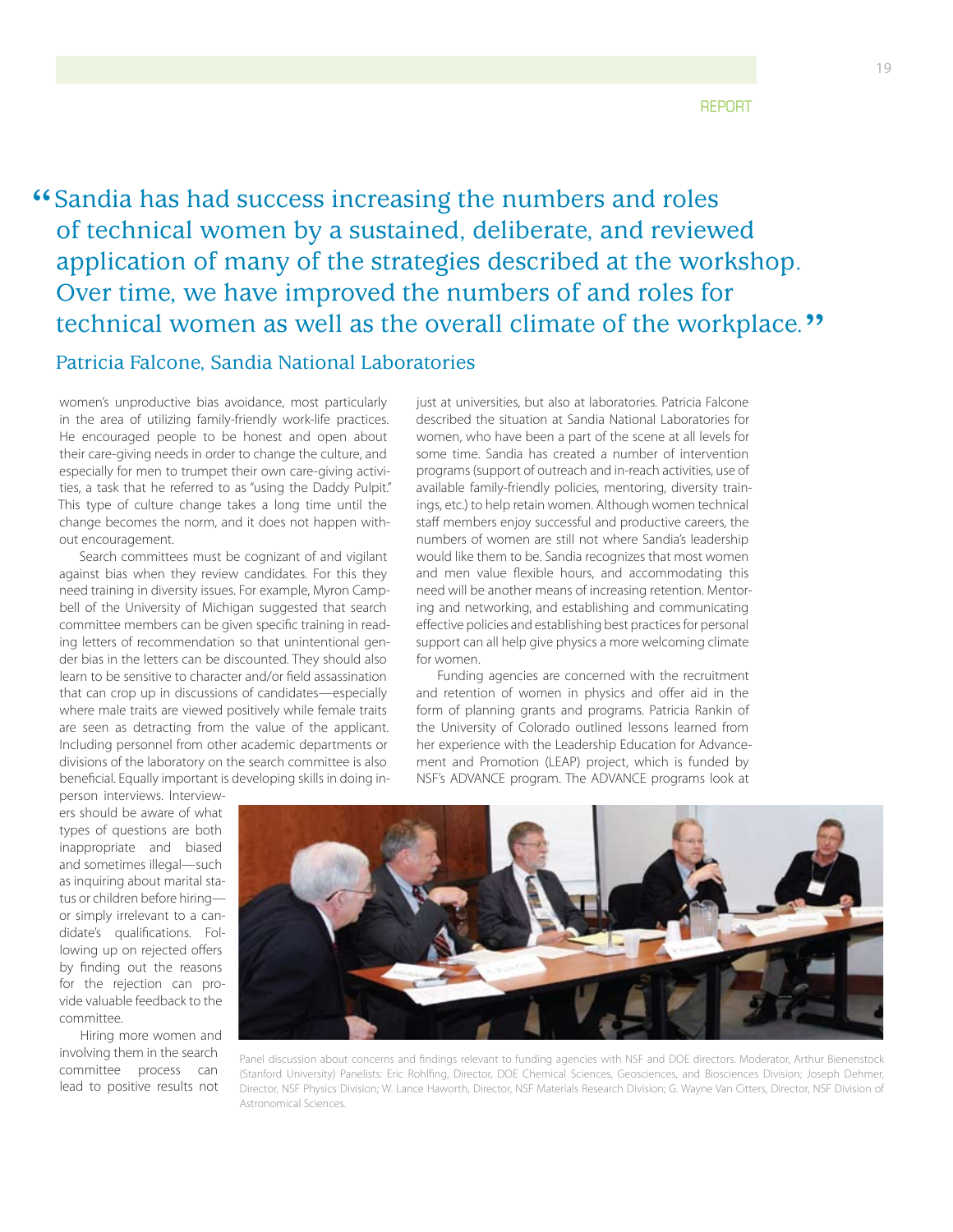"Sandia has had success increasing the numbers and roles of technical women by a sustained, deliberate, and reviewed application of many of the strategies described at the workshop. Over time, we have improved the numbers of and roles for technical women as well as the overall climate of the workplace."

# Patricia Falcone, Sandia National Laboratories

women's unproductive bias avoidance, most particularly in the area of utilizing family-friendly work-life practices. He encouraged people to be honest and open about their care-giving needs in order to change the culture, and especially for men to trumpet their own care-giving activities, a task that he referred to as "using the Daddy Pulpit." This type of culture change takes a long time until the change becomes the norm, and it does not happen without encouragement.

Search committees must be cognizant of and vigilant against bias when they review candidates. For this they need training in diversity issues. For example, Myron Campbell of the University of Michigan suggested that search committee members can be given specific training in reading letters of recommendation so that unintentional gender bias in the letters can be discounted. They should also learn to be sensitive to character and/or field assassination that can crop up in discussions of candidates—especially where male traits are viewed positively while female traits are seen as detracting from the value of the applicant. Including personnel from other academic departments or divisions of the laboratory on the search committee is also beneficial. Equally important is developing skills in doing injust at universities, but also at laboratories. Patricia Falcone described the situation at Sandia National Laboratories for women, who have been a part of the scene at all levels for some time. Sandia has created a number of intervention programs (support of outreach and in-reach activities, use of available family-friendly policies, mentoring, diversity trainings, etc.) to help retain women. Although women technical staff members enjoy successful and productive careers, the numbers of women are still not where Sandia's leadership would like them to be. Sandia recognizes that most women and men value flexible hours, and accommodating this need will be another means of increasing retention. Mentoring and networking, and establishing and communicating effective policies and establishing best practices for personal support can all help give physics a more welcoming climate for women.

Funding agencies are concerned with the recruitment and retention of women in physics and offer aid in the form of planning grants and programs. Patricia Rankin of the University of Colorado outlined lessons learned from her experience with the Leadership Education for Advancement and Promotion (LEAP) project, which is funded by NSF's ADVANCE program. The ADVANCE programs look at

person interviews. Interviewers should be aware of what types of questions are both inappropriate and biased and sometimes illegal—such as inquiring about marital status or children before hiring or simply irrelevant to a candidate's qualifications. Following up on rejected offers by finding out the reasons for the rejection can provide valuable feedback to the committee.

Hiring more women and involving them in the search committee process can lead to positive results not



Panel discussion about concerns and findings relevant to funding agencies with NSF and DOE directors. Moderator, Arthur Bienenstock (Stanford University) Panelists: Eric Rohlfing, Director, DOE Chemical Sciences, Geosciences, and Biosciences Division; Joseph Dehmer, Director, NSF Physics Division; W. Lance Haworth, Director, NSF Materials Research Division; G. Wayne Van Citters, Director, NSF Division of Astronomical Sciences.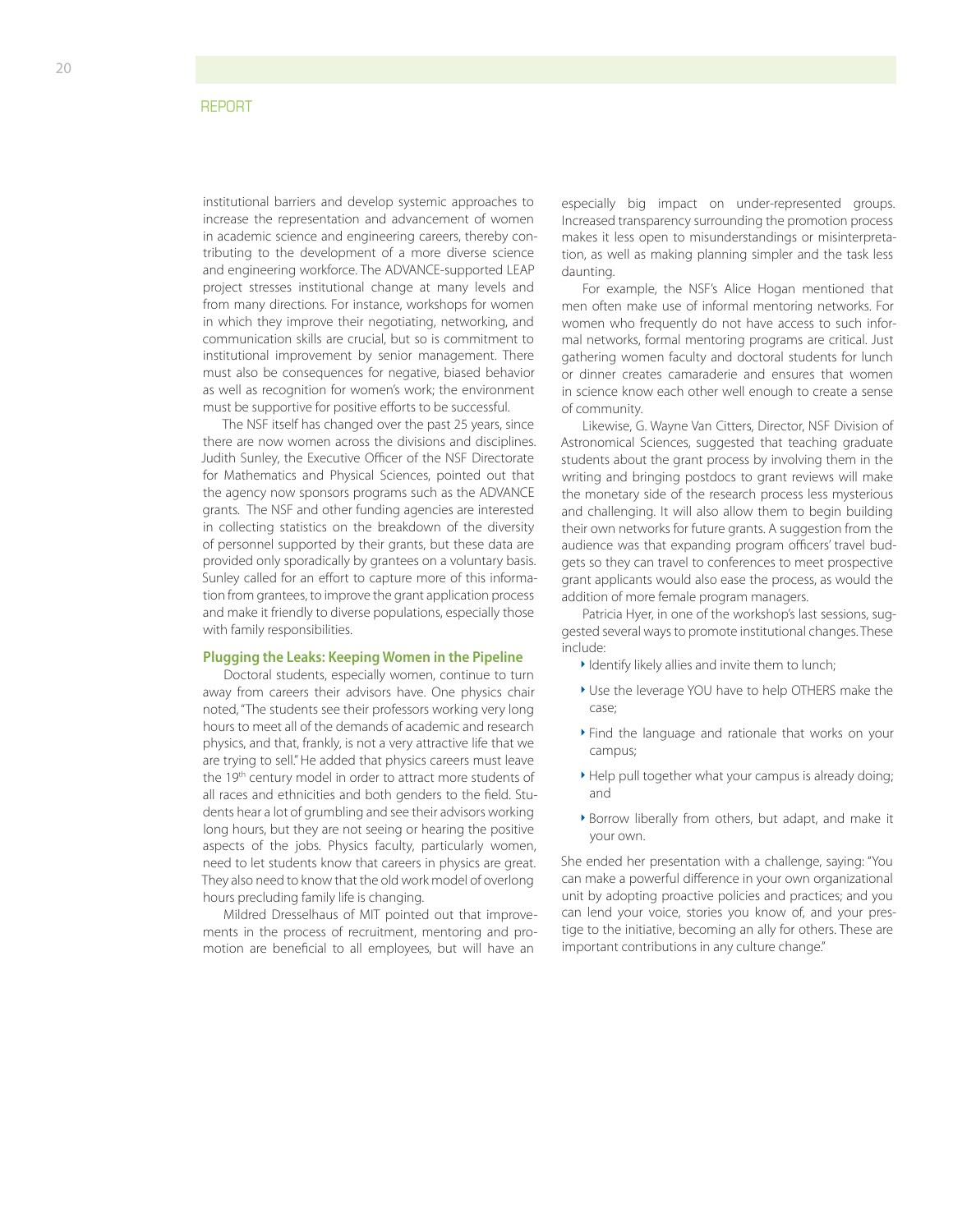institutional barriers and develop systemic approaches to increase the representation and advancement of women in academic science and engineering careers, thereby contributing to the development of a more diverse science and engineering workforce. The ADVANCE-supported LEAP project stresses institutional change at many levels and from many directions. For instance, workshops for women in which they improve their negotiating, networking, and communication skills are crucial, but so is commitment to institutional improvement by senior management. There must also be consequences for negative, biased behavior as well as recognition for women's work; the environment must be supportive for positive efforts to be successful.

The NSF itself has changed over the past 25 years, since there are now women across the divisions and disciplines. Judith Sunley, the Executive Officer of the NSF Directorate for Mathematics and Physical Sciences, pointed out that the agency now sponsors programs such as the ADVANCE grants. The NSF and other funding agencies are interested in collecting statistics on the breakdown of the diversity of personnel supported by their grants, but these data are provided only sporadically by grantees on a voluntary basis. Sunley called for an effort to capture more of this information from grantees, to improve the grant application process and make it friendly to diverse populations, especially those with family responsibilities.

# **Plugging the Leaks: Keeping Women in the Pipeline**

Doctoral students, especially women, continue to turn away from careers their advisors have. One physics chair noted, "The students see their professors working very long hours to meet all of the demands of academic and research physics, and that, frankly, is not a very attractive life that we are trying to sell." He added that physics careers must leave the 19th century model in order to attract more students of all races and ethnicities and both genders to the field. Students hear a lot of grumbling and see their advisors working long hours, but they are not seeing or hearing the positive aspects of the jobs. Physics faculty, particularly women, need to let students know that careers in physics are great. They also need to know that the old work model of overlong hours precluding family life is changing.

Mildred Dresselhaus of MIT pointed out that improvements in the process of recruitment, mentoring and promotion are beneficial to all employees, but will have an

especially big impact on under-represented groups. Increased transparency surrounding the promotion process makes it less open to misunderstandings or misinterpretation, as well as making planning simpler and the task less daunting.

For example, the NSF's Alice Hogan mentioned that men often make use of informal mentoring networks. For women who frequently do not have access to such informal networks, formal mentoring programs are critical. Just gathering women faculty and doctoral students for lunch or dinner creates camaraderie and ensures that women in science know each other well enough to create a sense of community.

Likewise, G. Wayne Van Citters, Director, NSF Division of Astronomical Sciences, suggested that teaching graduate students about the grant process by involving them in the writing and bringing postdocs to grant reviews will make the monetary side of the research process less mysterious and challenging. It will also allow them to begin building their own networks for future grants. A suggestion from the audience was that expanding program officers' travel budgets so they can travel to conferences to meet prospective grant applicants would also ease the process, as would the addition of more female program managers.

Patricia Hyer, in one of the workshop's last sessions, suggested several ways to promote institutional changes. These include:

- $\blacktriangleright$  Identify likely allies and invite them to lunch;
- ‣ Use the leverage YOU have to help OTHERS make the case;
- ‣ Find the language and rationale that works on your campus;
- ‣ Help pull together what your campus is already doing; and
- ‣ Borrow liberally from others, but adapt, and make it your own.

She ended her presentation with a challenge, saying: "You can make a powerful difference in your own organizational unit by adopting proactive policies and practices; and you can lend your voice, stories you know of, and your prestige to the initiative, becoming an ally for others. These are important contributions in any culture change."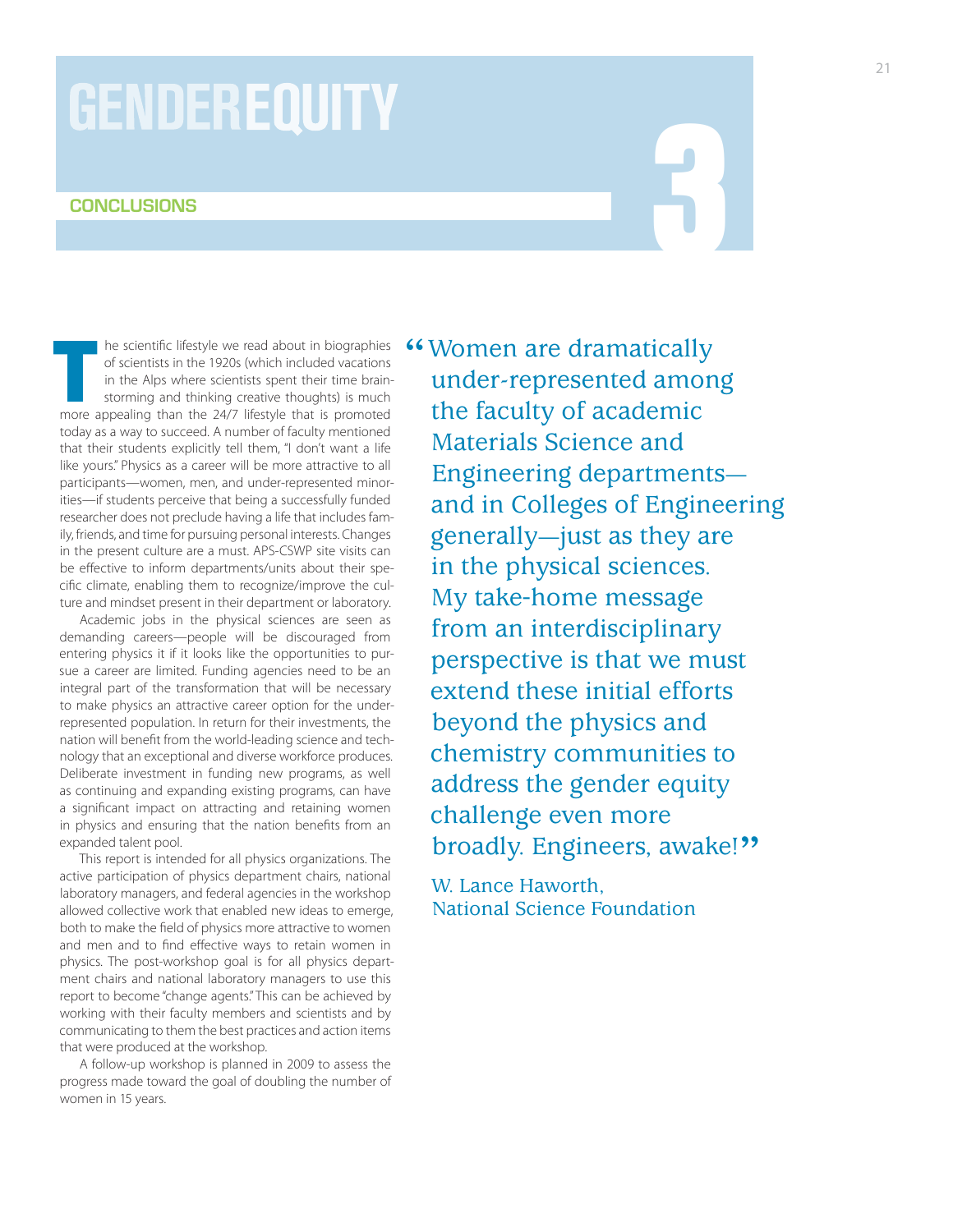# **3 CONCLUSIONS**<br> **EQUALITY**<br> **3**

The scientific lifestyle we read about in biographies of scientists in the 1920s (which included vacations in the Alps where scientists spent their time brain-storming and thinking creative thoughts) is much more appealing of scientists in the 1920s (which included vacations in the Alps where scientists spent their time brainstorming and thinking creative thoughts) is much today as a way to succeed. A number of faculty mentioned that their students explicitly tell them, "I don't want a life like yours." Physics as a career will be more attractive to all participants—women, men, and under-represented minorities—if students perceive that being a successfully funded researcher does not preclude having a life that includes family, friends, and time for pursuing personal interests. Changes in the present culture are a must. APS-CSWP site visits can be effective to inform departments/units about their specific climate, enabling them to recognize/improve the culture and mindset present in their department or laboratory.

Academic jobs in the physical sciences are seen as demanding careers—people will be discouraged from entering physics it if it looks like the opportunities to pursue a career are limited. Funding agencies need to be an integral part of the transformation that will be necessary to make physics an attractive career option for the underrepresented population. In return for their investments, the nation will benefit from the world-leading science and technology that an exceptional and diverse workforce produces. Deliberate investment in funding new programs, as well as continuing and expanding existing programs, can have a significant impact on attracting and retaining women in physics and ensuring that the nation benefits from an expanded talent pool.

This report is intended for all physics organizations. The active participation of physics department chairs, national laboratory managers, and federal agencies in the workshop allowed collective work that enabled new ideas to emerge, both to make the field of physics more attractive to women and men and to find effective ways to retain women in physics. The post-workshop goal is for all physics department chairs and national laboratory managers to use this report to become "change agents." This can be achieved by working with their faculty members and scientists and by communicating to them the best practices and action items that were produced at the workshop.

A follow-up workshop is planned in 2009 to assess the progress made toward the goal of doubling the number of women in 15 years.

"Women are dramatically under-represented among the faculty of academic Materials Science and Engineering departments and in Colleges of Engineering generally—just as they are in the physical sciences. My take-home message from an interdisciplinary perspective is that we must extend these initial efforts beyond the physics and chemistry communities to address the gender equity challenge even more broadly. Engineers, awake!"

W. Lance Haworth, National Science Foundation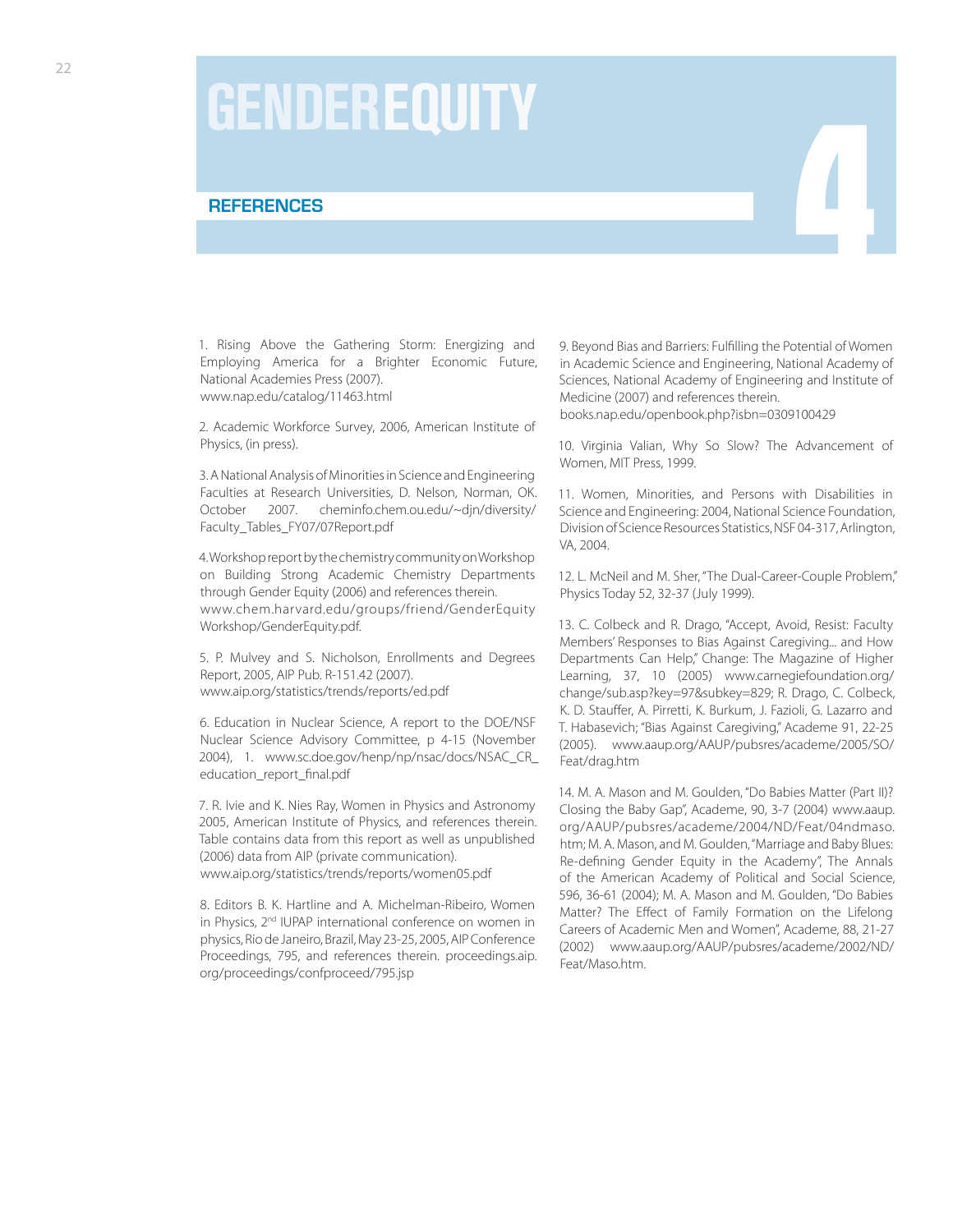# **4 REFERENCES**<br>REFERENCES<br>REFERENCES

1. Rising Above the Gathering Storm: Energizing and Employing America for a Brighter Economic Future, National Academies Press (2007). www.nap.edu/catalog/11463.html

2. Academic Workforce Survey, 2006, American Institute of Physics, (in press).

3. A National Analysis of Minorities in Science and Engineering Faculties at Research Universities, D. Nelson, Norman, OK. October 2007. cheminfo.chem.ou.edu/~djn/diversity/ Faculty\_Tables\_FY07/07Report.pdf

4. Workshop report by the chemistry community on Workshop on Building Strong Academic Chemistry Departments through Gender Equity (2006) and references therein. www.chem.harvard.edu/groups/friend/GenderEquity Workshop/GenderEquity.pdf.

5. P. Mulvey and S. Nicholson, Enrollments and Degrees Report, 2005, AIP Pub. R-151.42 (2007). www.aip.org/statistics/trends/reports/ed.pdf

6. Education in Nuclear Science, A report to the DOE/NSF Nuclear Science Advisory Committee, p 4-15 (November 2004), 1. www.sc.doe.gov/henp/np/nsac/docs/NSAC\_CR\_ education\_report\_final.pdf

7. R. Ivie and K. Nies Ray, Women in Physics and Astronomy 2005, American Institute of Physics, and references therein. Table contains data from this report as well as unpublished (2006) data from AIP (private communication). www.aip.org/statistics/trends/reports/women05.pdf

8. Editors B. K. Hartline and A. Michelman-Ribeiro, Women in Physics, 2<sup>nd</sup> IUPAP international conference on women in physics, Rio de Janeiro, Brazil, May 23-25, 2005, AIP Conference Proceedings, 795, and references therein. proceedings.aip. org/proceedings/confproceed/795.jsp

9. Beyond Bias and Barriers: Fulfilling the Potential of Women in Academic Science and Engineering, National Academy of Sciences, National Academy of Engineering and Institute of Medicine (2007) and references therein.

books.nap.edu/openbook.php?isbn=0309100429

10. Virginia Valian, Why So Slow? The Advancement of Women, MIT Press, 1999.

11. Women, Minorities, and Persons with Disabilities in Science and Engineering: 2004, National Science Foundation, Division of Science Resources Statistics, NSF 04-317, Arlington, VA, 2004.

12. L. McNeil and M. Sher, "The Dual-Career-Couple Problem," Physics Today 52, 32-37 (July 1999).

13. C. Colbeck and R. Drago, "Accept, Avoid, Resist: Faculty Members' Responses to Bias Against Caregiving... and How Departments Can Help," Change: The Magazine of Higher Learning, 37, 10 (2005) www.carnegiefoundation.org/ change/sub.asp?key=97&subkey=829; R. Drago, C. Colbeck, K. D. Stauffer, A. Pirretti, K. Burkum, J. Fazioli, G. Lazarro and T. Habasevich; "Bias Against Caregiving," Academe 91, 22-25 (2005). www.aaup.org/AAUP/pubsres/academe/2005/SO/ Feat/drag.htm

14. M. A. Mason and M. Goulden, "Do Babies Matter (Part II)? Closing the Baby Gap", Academe, 90, 3-7 (2004) www.aaup. org/AAUP/pubsres/academe/2004/ND/Feat/04ndmaso. htm; M. A. Mason, and M. Goulden, "Marriage and Baby Blues: Re-defining Gender Equity in the Academy", The Annals of the American Academy of Political and Social Science, 596, 36-61 (2004); M. A. Mason and M. Goulden, "Do Babies Matter? The Effect of Family Formation on the Lifelong Careers of Academic Men and Women", Academe, 88, 21-27 (2002) www.aaup.org/AAUP/pubsres/academe/2002/ND/ Feat/Maso.htm.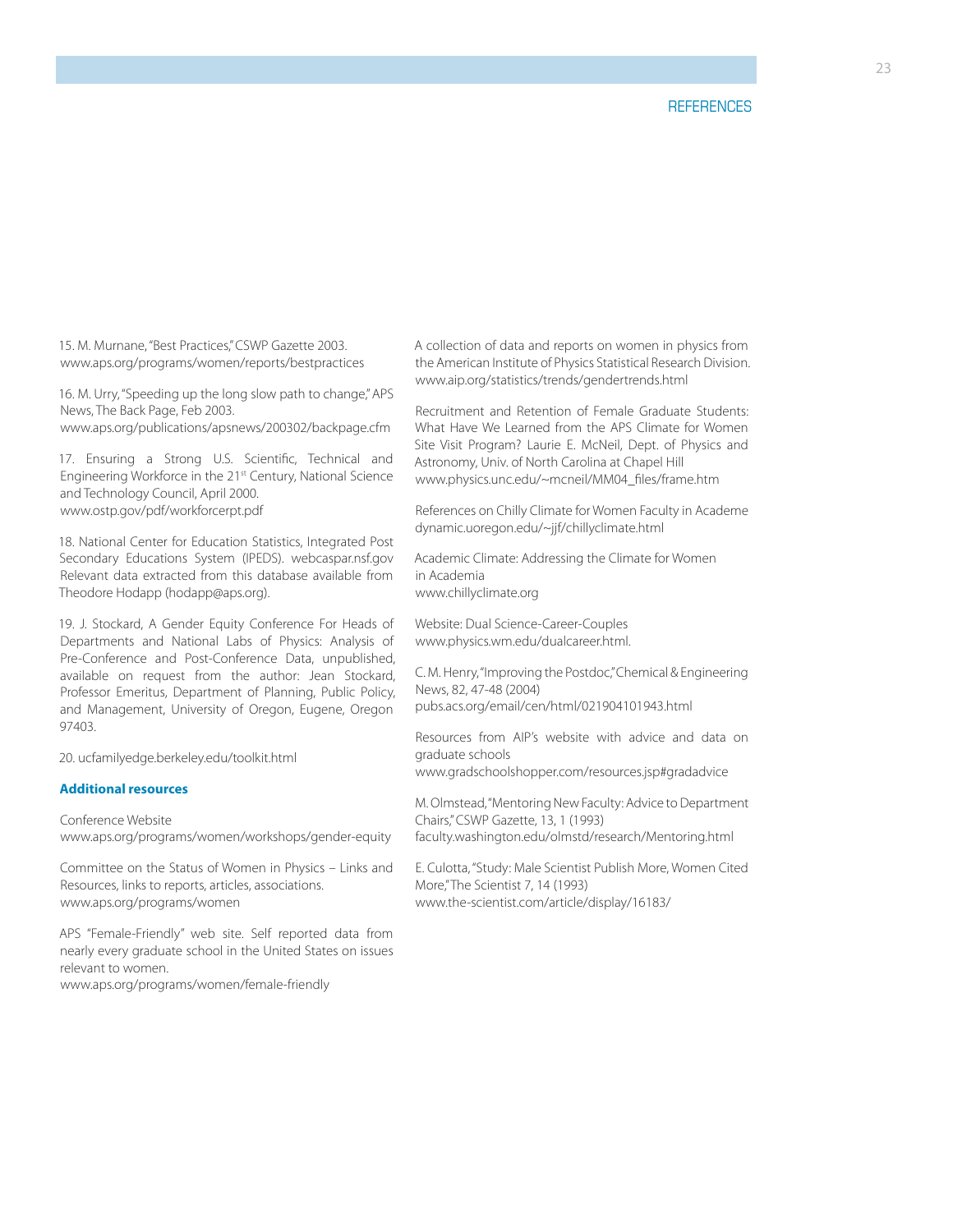

15. M. Murnane, "Best Practices," CSWP Gazette 2003. www.aps.org/programs/women/reports/bestpractices

16. M. Urry, "Speeding up the long slow path to change," APS News, The Back Page, Feb 2003. www.aps.org/publications/apsnews/200302/backpage.cfm

17. Ensuring a Strong U.S. Scientific, Technical and Engineering Workforce in the 21<sup>st</sup> Century, National Science and Technology Council, April 2000. www.ostp.gov/pdf/workforcerpt.pdf

18. National Center for Education Statistics, Integrated Post Secondary Educations System (IPEDS). webcaspar.nsf.gov Relevant data extracted from this database available from Theodore Hodapp (hodapp@aps.org).

19. J. Stockard, A Gender Equity Conference For Heads of Departments and National Labs of Physics: Analysis of Pre-Conference and Post-Conference Data, unpublished, available on request from the author: Jean Stockard, Professor Emeritus, Department of Planning, Public Policy, and Management, University of Oregon, Eugene, Oregon 97403.

20. ucfamilyedge.berkeley.edu/toolkit.html

# **Additional resources**

Conference Website www.aps.org/programs/women/workshops/gender-equity

Committee on the Status of Women in Physics – Links and Resources, links to reports, articles, associations. www.aps.org/programs/women

APS "Female-Friendly" web site. Self reported data from nearly every graduate school in the United States on issues relevant to women. www.aps.org/programs/women/female-friendly

A collection of data and reports on women in physics from the American Institute of Physics Statistical Research Division. www.aip.org/statistics/trends/gendertrends.html

Recruitment and Retention of Female Graduate Students: What Have We Learned from the APS Climate for Women Site Visit Program? Laurie E. McNeil, Dept. of Physics and Astronomy, Univ. of North Carolina at Chapel Hill www.physics.unc.edu/~mcneil/MM04\_files/frame.htm

References on Chilly Climate for Women Faculty in Academe dynamic.uoregon.edu/~jjf/chillyclimate.html

Academic Climate: Addressing the Climate for Women in Academia www.chillyclimate.org

Website: Dual Science-Career-Couples www.physics.wm.edu/dualcareer.html.

C. M. Henry, "Improving the Postdoc," Chemical & Engineering News, 82, 47-48 (2004) pubs.acs.org/email/cen/html/021904101943.html

Resources from AIP's website with advice and data on graduate schools

www.gradschoolshopper.com/resources.jsp#gradadvice

M. Olmstead, "Mentoring New Faculty: Advice to Department Chairs," CSWP Gazette, 13, 1 (1993) faculty.washington.edu/olmstd/research/Mentoring.html

E. Culotta, "Study: Male Scientist Publish More, Women Cited More," The Scientist 7, 14 (1993) www.the-scientist.com/article/display/16183/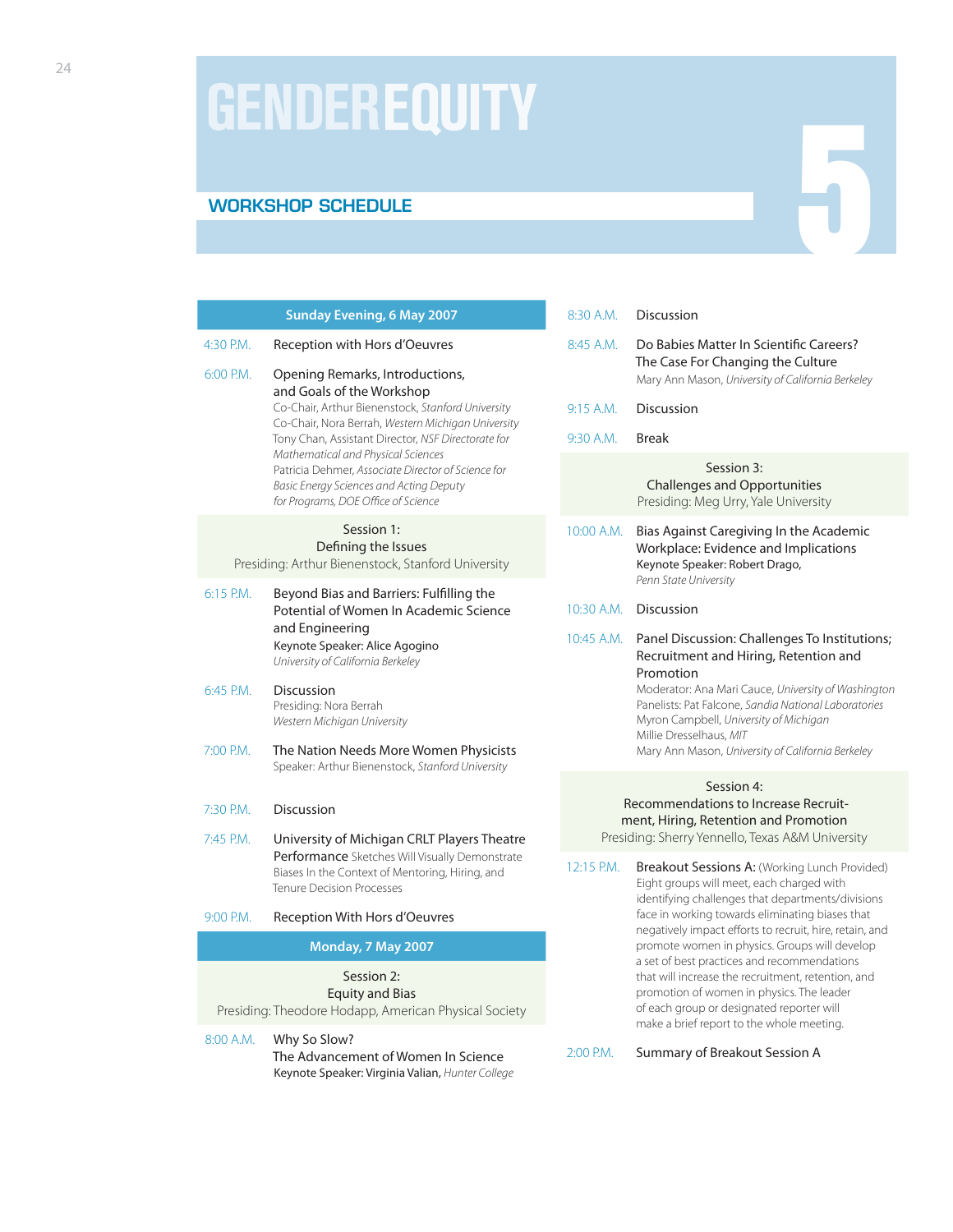|                                                                                                                                                                            | <b>Sunday Evening, 6 May 2007</b>                                                                                                                                                    | 8:30 A.M.         | <b>Discussion</b>                                                                                                                                                                         |  |
|----------------------------------------------------------------------------------------------------------------------------------------------------------------------------|--------------------------------------------------------------------------------------------------------------------------------------------------------------------------------------|-------------------|-------------------------------------------------------------------------------------------------------------------------------------------------------------------------------------------|--|
| 4:30 P.M.                                                                                                                                                                  | Reception with Hors d'Oeuvres                                                                                                                                                        |                   | Do Babies Matter In Scientific Careers?                                                                                                                                                   |  |
| 6:00 P.M.                                                                                                                                                                  | Opening Remarks, Introductions,<br>and Goals of the Workshop                                                                                                                         |                   | The Case For Changing the Culture<br>Mary Ann Mason, University of California Berkeley                                                                                                    |  |
|                                                                                                                                                                            | Co-Chair, Arthur Bienenstock, Stanford University<br>Co-Chair, Nora Berrah, Western Michigan University                                                                              | $9:15$ A.M.       | Discussion                                                                                                                                                                                |  |
|                                                                                                                                                                            | Tony Chan, Assistant Director, NSF Directorate for                                                                                                                                   | 9:30 A.M.         | <b>Break</b>                                                                                                                                                                              |  |
| Mathematical and Physical Sciences<br>Patricia Dehmer, Associate Director of Science for<br>Basic Energy Sciences and Acting Deputy<br>for Programs, DOE Office of Science |                                                                                                                                                                                      |                   | Session 3:<br><b>Challenges and Opportunities</b><br>Presiding: Meg Urry, Yale University                                                                                                 |  |
|                                                                                                                                                                            | Session 1:<br>Defining the Issues<br>Presiding: Arthur Bienenstock, Stanford University                                                                                              |                   | Bias Against Caregiving In the Academic<br>Workplace: Evidence and Implications<br>Keynote Speaker: Robert Drago,<br>Penn State University                                                |  |
| 6:15 P.M.<br>Beyond Bias and Barriers: Fulfilling the<br>Potential of Women In Academic Science                                                                            | 10:30 A.M.                                                                                                                                                                           | <b>Discussion</b> |                                                                                                                                                                                           |  |
|                                                                                                                                                                            | and Engineering<br>Keynote Speaker: Alice Agogino<br>University of California Berkeley                                                                                               |                   | 10:45 A.M.<br>Panel Discussion: Challenges To Institutions;<br>Recruitment and Hiring, Retention and<br>Promotion                                                                         |  |
| 6:45 P.M.                                                                                                                                                                  | Discussion<br>Presiding: Nora Berrah<br>Western Michigan University                                                                                                                  |                   | Moderator: Ana Mari Cauce, University of Washington<br>Panelists: Pat Falcone, Sandia National Laboratories<br>Myron Campbell, University of Michigan                                     |  |
| 7:00 P.M.                                                                                                                                                                  | The Nation Needs More Women Physicists<br>Speaker: Arthur Bienenstock, Stanford University                                                                                           |                   | Millie Dresselhaus, MIT<br>Mary Ann Mason, University of California Berkeley                                                                                                              |  |
|                                                                                                                                                                            |                                                                                                                                                                                      |                   | Session 4:                                                                                                                                                                                |  |
| 7:30 P.M.                                                                                                                                                                  | <b>Discussion</b>                                                                                                                                                                    |                   | Recommendations to Increase Recruit-<br>ment, Hiring, Retention and Promotion                                                                                                             |  |
| 7:45 P.M.                                                                                                                                                                  | University of Michigan CRLT Players Theatre<br>Performance Sketches Will Visually Demonstrate<br>Biases In the Context of Mentoring, Hiring, and<br><b>Tenure Decision Processes</b> |                   | Presiding: Sherry Yennello, Texas A&M University                                                                                                                                          |  |
|                                                                                                                                                                            |                                                                                                                                                                                      |                   | Breakout Sessions A: (Working Lunch Provided)<br>Eight groups will meet, each charged with<br>identifying challenges that departments/divisions                                           |  |
| 9:00 P.M.                                                                                                                                                                  | Reception With Hors d'Oeuvres                                                                                                                                                        |                   | face in working towards eliminating biases that<br>negatively impact efforts to recruit, hire, retain, and                                                                                |  |
| <b>Monday, 7 May 2007</b>                                                                                                                                                  |                                                                                                                                                                                      |                   | promote women in physics. Groups will develop<br>a set of best practices and recommendations                                                                                              |  |
|                                                                                                                                                                            | Session 2:<br><b>Equity and Bias</b><br>Presiding: Theodore Hodapp, American Physical Society                                                                                        |                   | that will increase the recruitment, retention, and<br>promotion of women in physics. The leader<br>of each group or designated reporter will<br>make a brief report to the whole meeting. |  |
| 8:00 A.M.                                                                                                                                                                  | Why So Slow?<br>The Advancement of Women In Science<br>Keynote Speaker: Virginia Valian, Hunter College                                                                              | 2:00 P.M.         | Summary of Breakout Session A                                                                                                                                                             |  |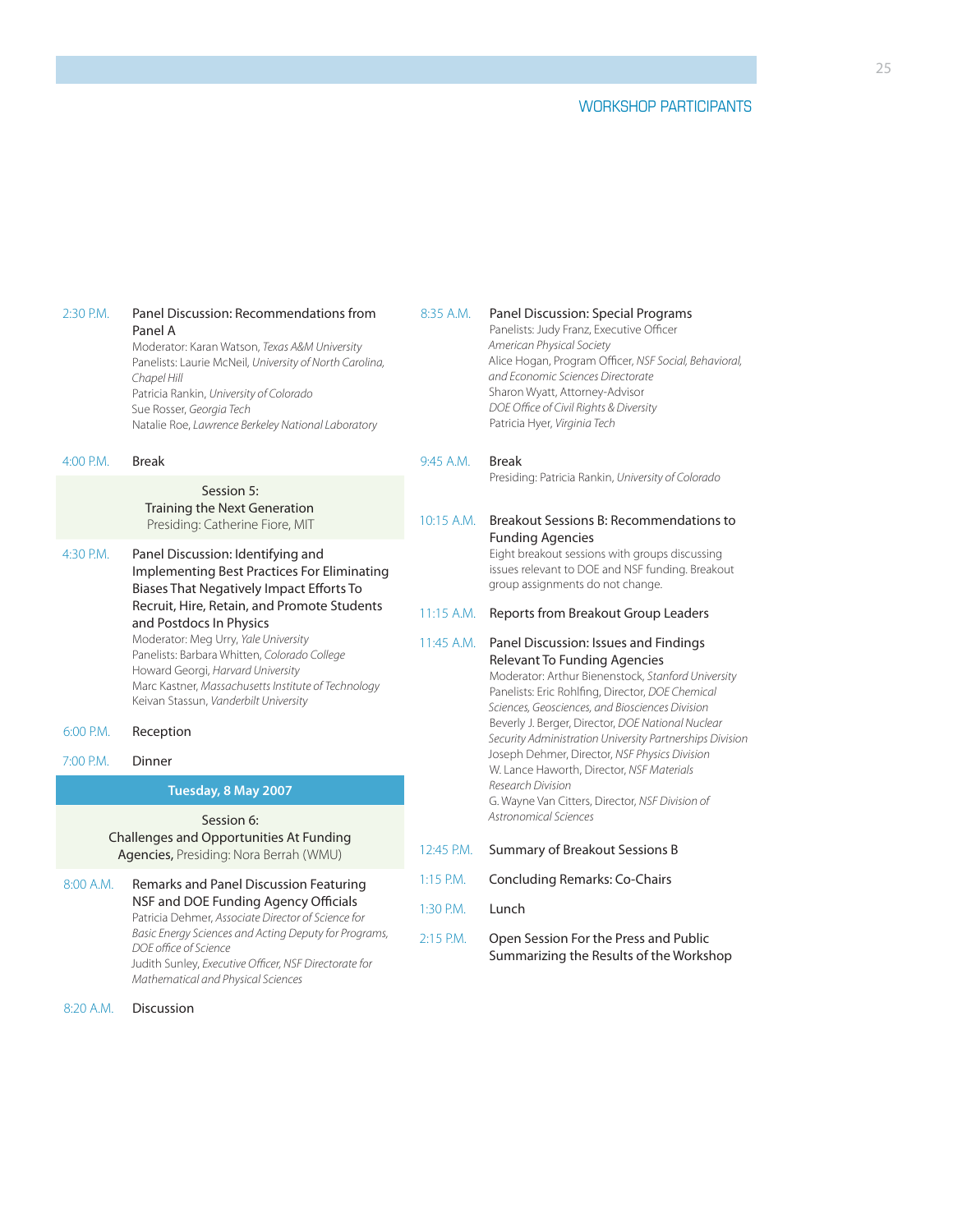| 2:30 P.M.                                                                                                                                                                                                                                                                                                                          | Panel Discussion: Recommendations from<br>Panel A<br>Moderator: Karan Watson, Texas A&M University<br>Panelists: Laurie McNeil, University of North Carolina,<br>Chapel Hill<br>Patricia Rankin, University of Colorado<br>Sue Rosser, Georgia Tech<br>Natalie Roe, Lawrence Berkeley National Laboratory | 8:35 A.M.                                                                        | Panel Discussion: Special Programs<br>Panelists: Judy Franz, Executive Officer<br>American Physical Society<br>Alice Hogan, Program Officer, NSF Social, Behavioral,<br>and Economic Sciences Directorate<br>Sharon Wyatt, Attorney-Advisor<br>DOE Office of Civil Rights & Diversity<br>Patricia Hyer, Virginia Tech |  |
|------------------------------------------------------------------------------------------------------------------------------------------------------------------------------------------------------------------------------------------------------------------------------------------------------------------------------------|-----------------------------------------------------------------------------------------------------------------------------------------------------------------------------------------------------------------------------------------------------------------------------------------------------------|----------------------------------------------------------------------------------|-----------------------------------------------------------------------------------------------------------------------------------------------------------------------------------------------------------------------------------------------------------------------------------------------------------------------|--|
| 4:00 P.M.                                                                                                                                                                                                                                                                                                                          | <b>Break</b>                                                                                                                                                                                                                                                                                              | 9:45 A.M.                                                                        | <b>Break</b>                                                                                                                                                                                                                                                                                                          |  |
|                                                                                                                                                                                                                                                                                                                                    | Session 5:<br>Training the Next Generation<br>Presiding: Catherine Fiore, MIT                                                                                                                                                                                                                             | $10:15$ A.M.                                                                     | Presiding: Patricia Rankin, University of Colorado<br>Breakout Sessions B: Recommendations to                                                                                                                                                                                                                         |  |
| 4:30 P.M.<br>Panel Discussion: Identifying and<br>Implementing Best Practices For Eliminating<br>Biases That Negatively Impact Efforts To                                                                                                                                                                                          |                                                                                                                                                                                                                                                                                                           |                                                                                  | <b>Funding Agencies</b><br>Eight breakout sessions with groups discussing<br>issues relevant to DOE and NSF funding. Breakout<br>group assignments do not change.                                                                                                                                                     |  |
| Recruit, Hire, Retain, and Promote Students<br>and Postdocs In Physics                                                                                                                                                                                                                                                             | $11:15$ A.M.                                                                                                                                                                                                                                                                                              | Reports from Breakout Group Leaders                                              |                                                                                                                                                                                                                                                                                                                       |  |
| Moderator: Meg Urry, Yale University<br>Panelists: Barbara Whitten, Colorado College<br>Howard Georgi, Harvard University<br>Marc Kastner, Massachusetts Institute of Technology<br>Keivan Stassun, Vanderbilt University                                                                                                          |                                                                                                                                                                                                                                                                                                           | 11:45 A.M.                                                                       | Panel Discussion: Issues and Findings<br><b>Relevant To Funding Agencies</b><br>Moderator: Arthur Bienenstock, Stanford University<br>Panelists: Eric Rohlfing, Director, DOE Chemical<br>Sciences, Geosciences, and Biosciences Division                                                                             |  |
| 6:00 P.M.                                                                                                                                                                                                                                                                                                                          | Reception                                                                                                                                                                                                                                                                                                 |                                                                                  | Beverly J. Berger, Director, DOE National Nuclear<br>Security Administration University Partnerships Division                                                                                                                                                                                                         |  |
| 7:00 P.M.                                                                                                                                                                                                                                                                                                                          | <b>Dinner</b>                                                                                                                                                                                                                                                                                             |                                                                                  | Joseph Dehmer, Director, NSF Physics Division<br>W. Lance Haworth, Director, NSF Materials                                                                                                                                                                                                                            |  |
|                                                                                                                                                                                                                                                                                                                                    | Tuesday, 8 May 2007                                                                                                                                                                                                                                                                                       |                                                                                  | Research Division<br>G. Wayne Van Citters, Director, NSF Division of                                                                                                                                                                                                                                                  |  |
|                                                                                                                                                                                                                                                                                                                                    | Session 6:                                                                                                                                                                                                                                                                                                |                                                                                  | Astronomical Sciences                                                                                                                                                                                                                                                                                                 |  |
|                                                                                                                                                                                                                                                                                                                                    | Challenges and Opportunities At Funding<br>Agencies, Presiding: Nora Berrah (WMU)                                                                                                                                                                                                                         | 12:45 P.M.                                                                       | <b>Summary of Breakout Sessions B</b>                                                                                                                                                                                                                                                                                 |  |
| 8:00 A.M.<br>Remarks and Panel Discussion Featuring<br>NSF and DOE Funding Agency Officials<br>Patricia Dehmer, Associate Director of Science for<br>Basic Energy Sciences and Acting Deputy for Programs,<br>DOE office of Science<br>Judith Sunley, Executive Officer, NSF Directorate for<br>Mathematical and Physical Sciences | $1:15$ P.M.                                                                                                                                                                                                                                                                                               | <b>Concluding Remarks: Co-Chairs</b>                                             |                                                                                                                                                                                                                                                                                                                       |  |
|                                                                                                                                                                                                                                                                                                                                    | 1:30 P.M.                                                                                                                                                                                                                                                                                                 | Lunch                                                                            |                                                                                                                                                                                                                                                                                                                       |  |
|                                                                                                                                                                                                                                                                                                                                    | 2:15 P.M.                                                                                                                                                                                                                                                                                                 | Open Session For the Press and Public<br>Summarizing the Results of the Workshop |                                                                                                                                                                                                                                                                                                                       |  |
| $8:20$ A.M.                                                                                                                                                                                                                                                                                                                        | <b>Discussion</b>                                                                                                                                                                                                                                                                                         |                                                                                  |                                                                                                                                                                                                                                                                                                                       |  |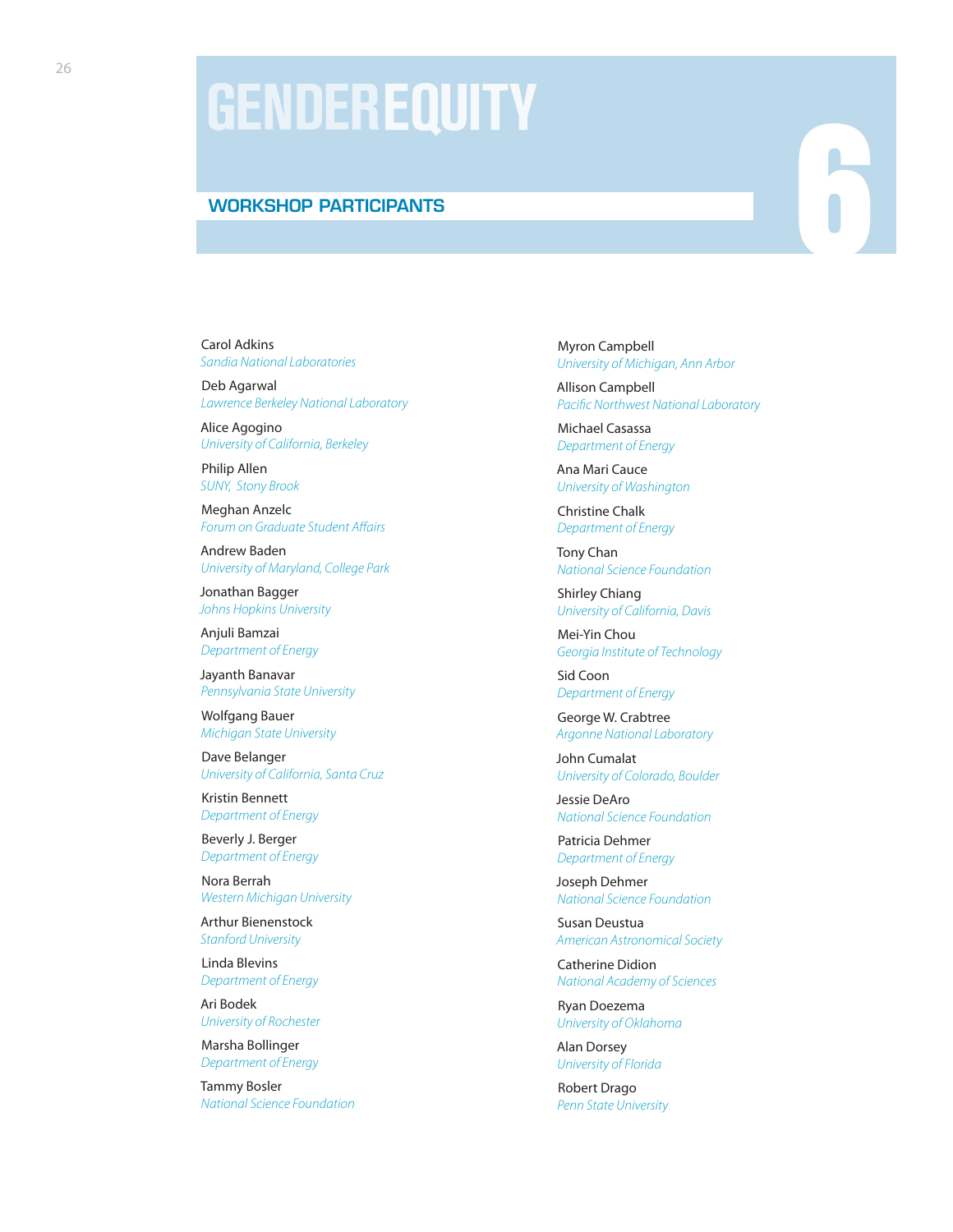# WORKSHOP PARTICIPANTS **6**

Carol Adkins *Sandia National Laboratories*

Deb Agarwal *Lawrence Berkeley National Laboratory*

Alice Agogino *University of California, Berkeley*

Philip Allen *SUNY, Stony Brook*

Meghan Anzelc *Forum on Graduate Student Affairs*

Andrew Baden *University of Maryland, College Park*

Jonathan Bagger *Johns Hopkins University*

Anjuli Bamzai *Department of Energy*

Jayanth Banavar *Pennsylvania State University*

Wolfgang Bauer *Michigan State University*

Dave Belanger *University of California, Santa Cruz*

Kristin Bennett *Department of Energy*

Beverly J. Berger *Department of Energy*

Nora Berrah *Western Michigan University*

Arthur Bienenstock *Stanford University*

Linda Blevins *Department of Energy*

Ari Bodek *University of Rochester*

Marsha Bollinger *Department of Energy*

Tammy Bosler *National Science Foundation* Myron Campbell *University of Michigan, Ann Arbor*

Allison Campbell *Pacific Northwest National Laboratory*

Michael Casassa *Department of Energy*

Ana Mari Cauce *University of Washington*

Christine Chalk *Department of Energy*

Tony Chan *National Science Foundation*

Shirley Chiang *University of California, Davis*

Mei-Yin Chou *Georgia Institute of Technology*

Sid Coon *Department of Energy*

George W. Crabtree *Argonne National Laboratory*

John Cumalat *University of Colorado, Boulder*

Jessie DeAro *National Science Foundation*

Patricia Dehmer *Department of Energy*

Joseph Dehmer *National Science Foundation*

Susan Deustua *American Astronomical Society*

Catherine Didion *National Academy of Sciences*

Ryan Doezema *University of Oklahoma*

Alan Dorsey *University of Florida*

Robert Drago *Penn State University*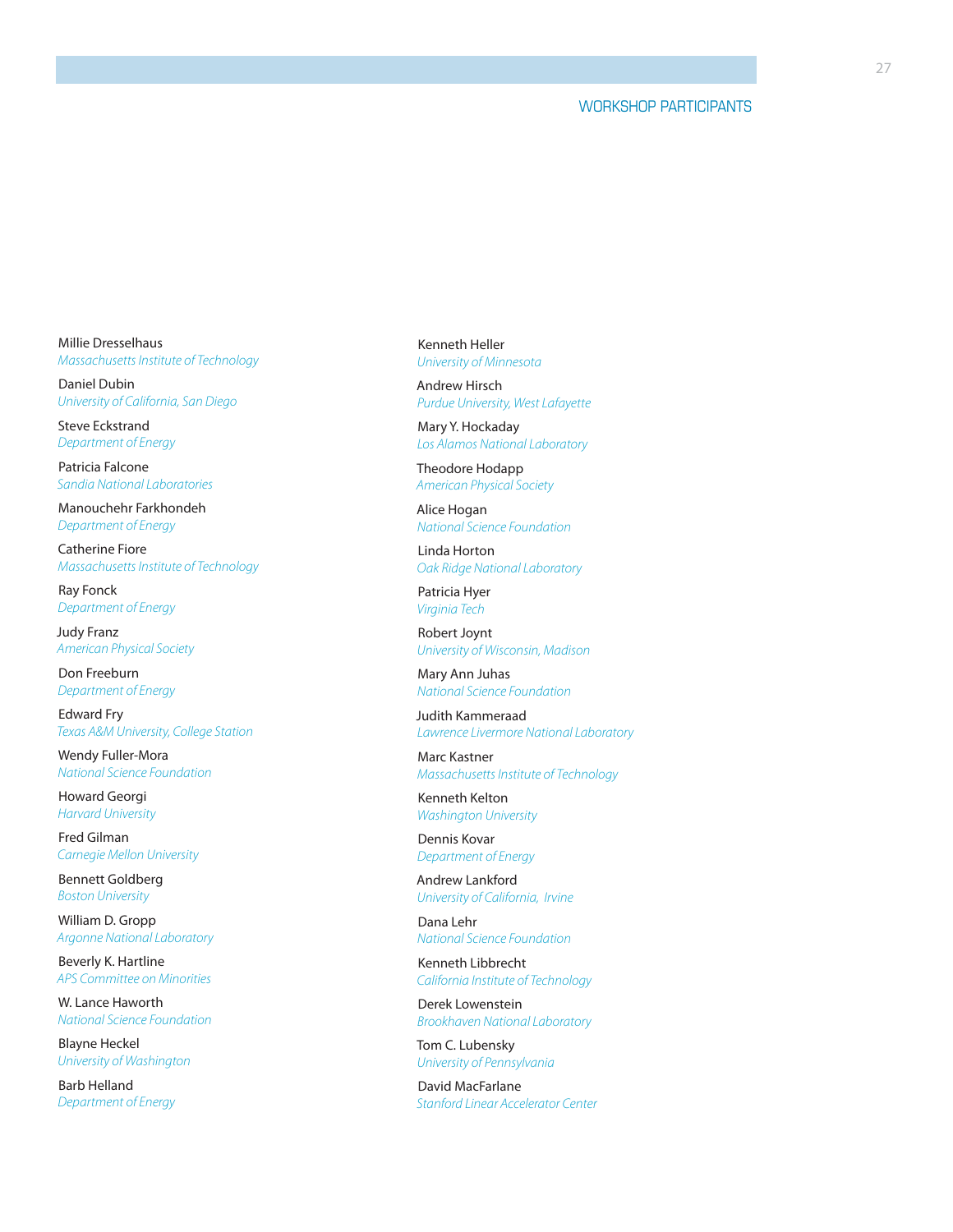Millie Dresselhaus *Massachusetts Institute of Technology*

Daniel Dubin *University of California, San Diego*

Steve Eckstrand *Department of Energy*

Patricia Falcone *Sandia National Laboratories*

Manouchehr Farkhondeh *Department of Energy*

Catherine Fiore *Massachusetts Institute of Technology*

Ray Fonck *Department of Energy*

Judy Franz *American Physical Society*

Don Freeburn *Department of Energy*

Edward Fry *Texas A&M University, College Station*

Wendy Fuller-Mora *National Science Foundation*

Howard Georgi *Harvard University*

Fred Gilman *Carnegie Mellon University*

Bennett Goldberg *Boston University*

William D. Gropp *Argonne National Laboratory*

Beverly K. Hartline *APS Committee on Minorities*

W. Lance Haworth *National Science Foundation*

Blayne Heckel *University of Washington*

Barb Helland *Department of Energy* Kenneth Heller *University of Minnesota*

Andrew Hirsch *Purdue University, West Lafayette*

Mary Y. Hockaday *Los Alamos National Laboratory*

Theodore Hodapp *American Physical Society*

Alice Hogan *National Science Foundation*

Linda Horton *Oak Ridge National Laboratory*

Patricia Hyer *Virginia Tech*

Robert Joynt *University of Wisconsin, Madison*

Mary Ann Juhas *National Science Foundation*

Judith Kammeraad *Lawrence Livermore National Laboratory*

Marc Kastner *Massachusetts Institute of Technology*

Kenneth Kelton *Washington University*

Dennis Kovar *Department of Energy*

Andrew Lankford *University of California, Irvine*

Dana Lehr *National Science Foundation*

Kenneth Libbrecht *California Institute of Technology*

Derek Lowenstein *Brookhaven National Laboratory*

Tom C. Lubensky *University of Pennsylvania*

David MacFarlane *Stanford Linear Accelerator Center*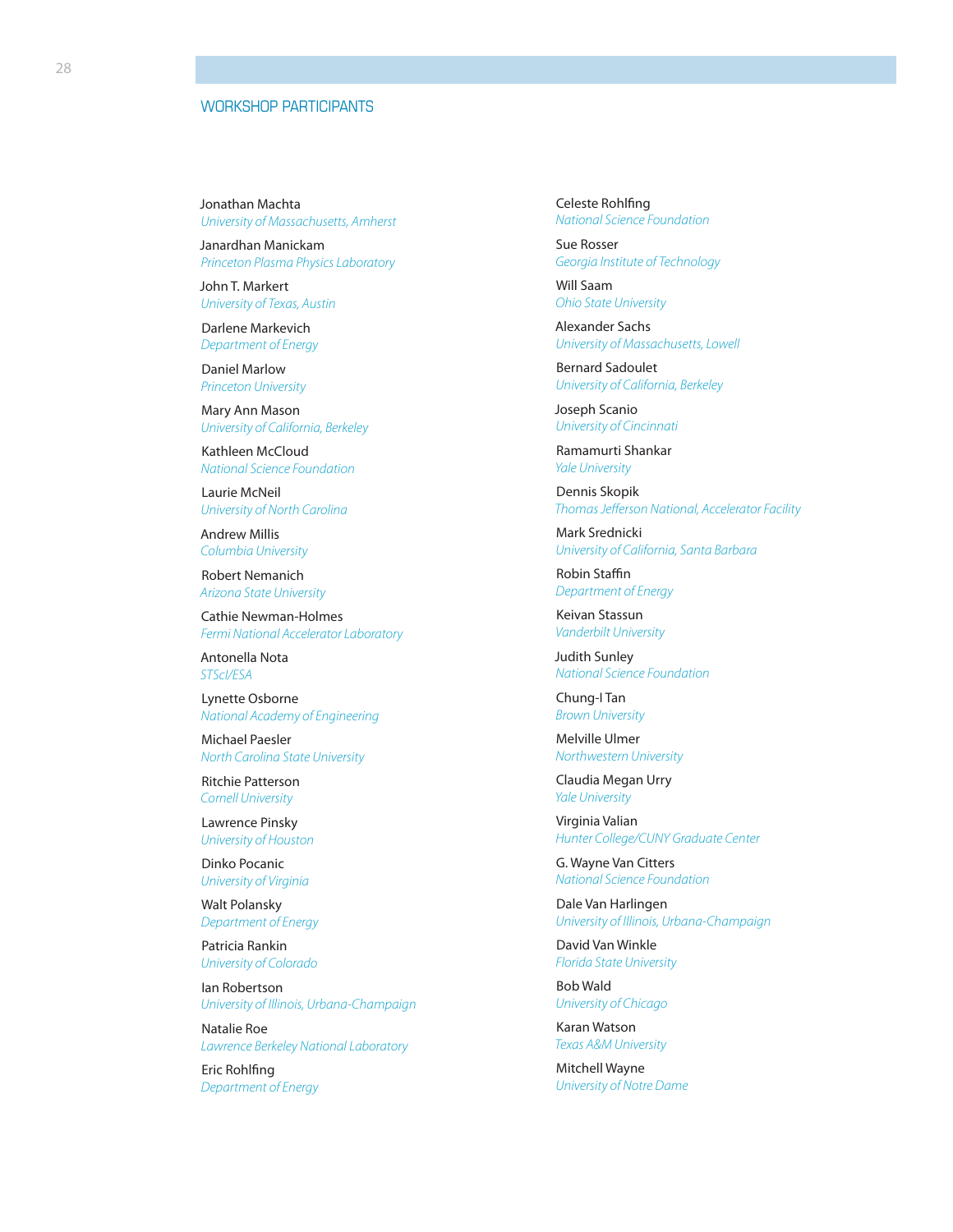# WORKSHOP PARTICIPANTS

Jonathan Machta *University of Massachusetts, Amherst*

Janardhan Manickam *Princeton Plasma Physics Laboratory*

John T. Markert *University of Texas, Austin*

Darlene Markevich *Department of Energy*

Daniel Marlow *Princeton University*

Mary Ann Mason *University of California, Berkeley*

Kathleen McCloud *National Science Foundation*

Laurie McNeil *University of North Carolina*

Andrew Millis *Columbia University*

Robert Nemanich *Arizona State University*

Cathie Newman-Holmes *Fermi National Accelerator Laboratory*

Antonella Nota *STScI/ESA*

Lynette Osborne *National Academy of Engineering*

Michael Paesler *North Carolina State University*

Ritchie Patterson *Cornell University*

Lawrence Pinsky *University of Houston*

Dinko Pocanic *University of Virginia*

Walt Polansky *Department of Energy*

Patricia Rankin *University of Colorado*

Ian Robertson *University of Illinois, Urbana-Champaign*

Natalie Roe *Lawrence Berkeley National Laboratory*

Eric Rohlfing *Department of Energy* Celeste Rohlfing *National Science Foundation*

Sue Rosser *Georgia Institute of Technology*

Will Saam *Ohio State University*

Alexander Sachs *University of Massachusetts, Lowell*

Bernard Sadoulet *University of California, Berkeley*

Joseph Scanio *University of Cincinnati*

Ramamurti Shankar *Yale University*

Dennis Skopik *Thomas Jefferson National, Accelerator Facility*

Mark Srednicki *University of California, Santa Barbara*

Robin Staffin *Department of Energy*

Keivan Stassun *Vanderbilt University*

Judith Sunley *National Science Foundation*

Chung-I Tan *Brown University*

Melville Ulmer *Northwestern University*

Claudia Megan Urry *Yale University*

Virginia Valian *Hunter College/CUNY Graduate Center*

G. Wayne Van Citters *National Science Foundation*

Dale Van Harlingen *University of Illinois, Urbana-Champaign*

David Van Winkle *Florida State University*

Bob Wald *University of Chicago*

Karan Watson *Texas A&M University*

Mitchell Wayne *University of Notre Dame*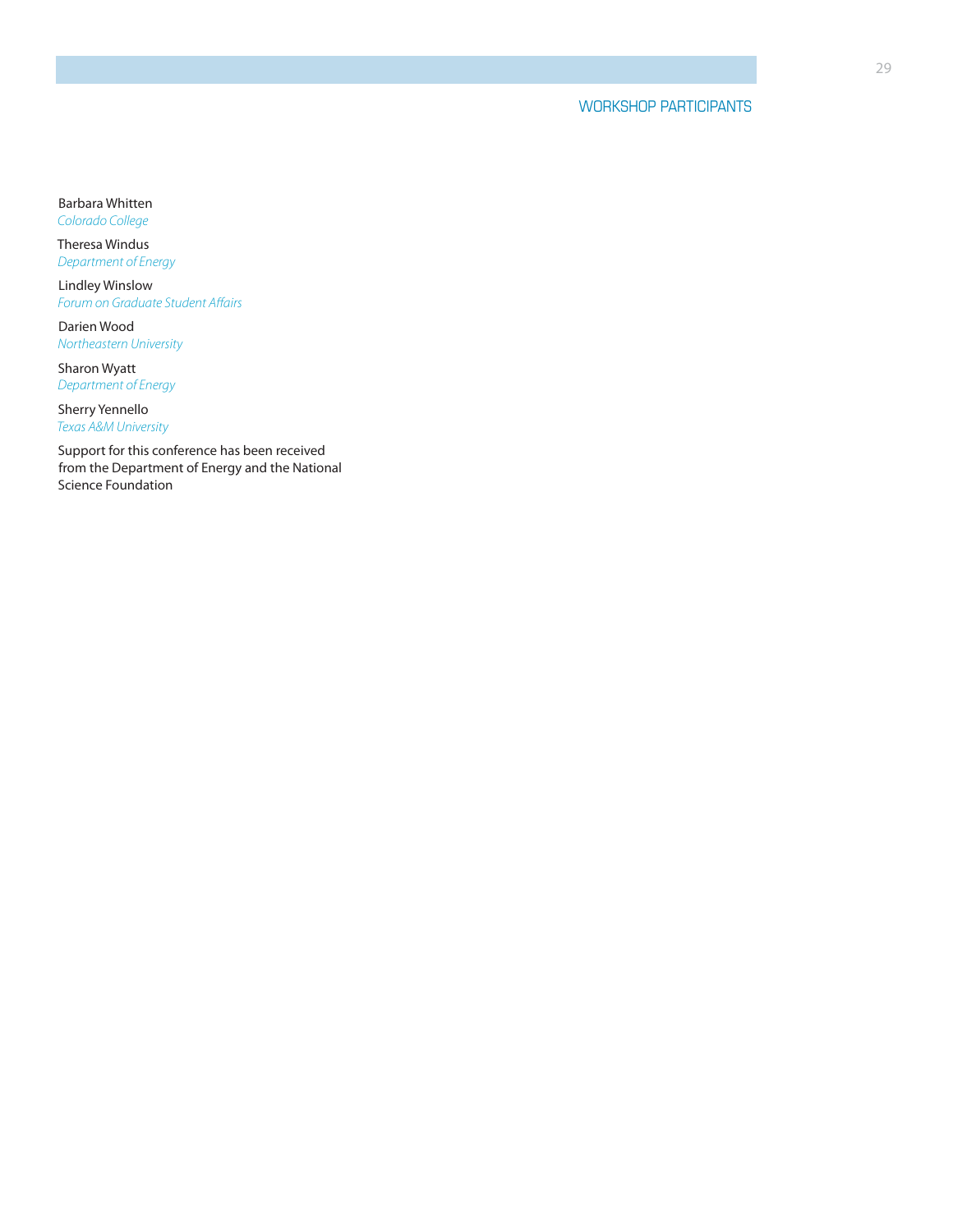WORKSHOP PARTICIPANTS

Barbara Whitten *Colorado College*

Theresa Windus *Department of Energy*

Lindley Winslow *Forum on Graduate Student Affairs*

Darien Wood *Northeastern University*

Sharon Wyatt *Department of Energy*

Sherry Yennello *Texas A&M University*

Support for this conference has been received from the Department of Energy and the National Science Foundation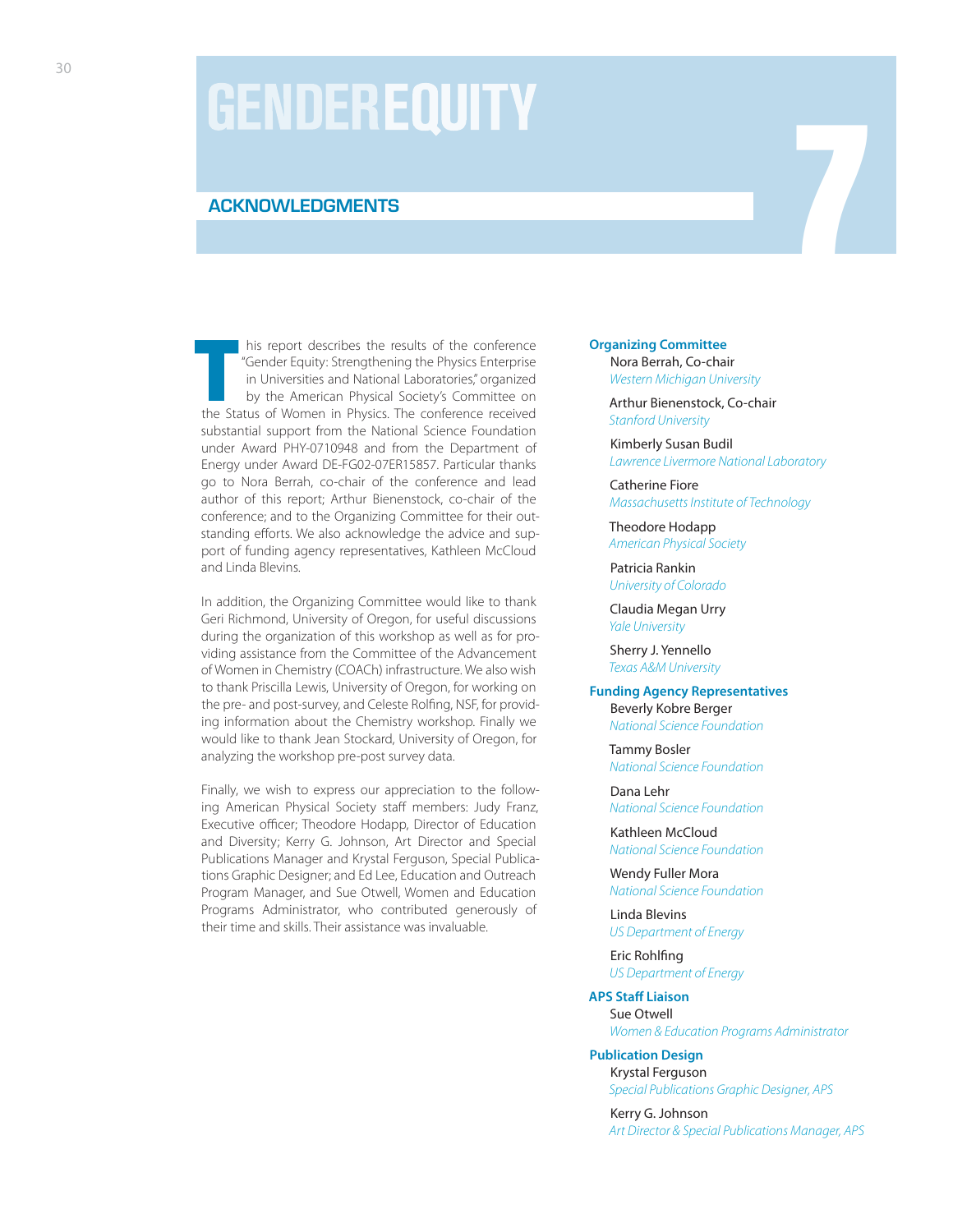# **ACKNOWLEDGMENTS ACKNOWLEDGMENTS**

This report describes the results of the conference "Gender Equity: Strengthening the Physics Enterprise in Universities and National Laboratories," organized by the American Physical Society's Committee on the Status of W "Gender Equity: Strengthening the Physics Enterprise in Universities and National Laboratories," organized by the American Physical Society's Committee on the Status of Women in Physics. The conference received substantial support from the National Science Foundation under Award PHY-0710948 and from the Department of Energy under Award DE-FG02-07ER15857. Particular thanks go to Nora Berrah, co-chair of the conference and lead author of this report; Arthur Bienenstock, co-chair of the conference; and to the Organizing Committee for their outstanding efforts. We also acknowledge the advice and support of funding agency representatives, Kathleen McCloud and Linda Blevins.

In addition, the Organizing Committee would like to thank Geri Richmond, University of Oregon, for useful discussions during the organization of this workshop as well as for providing assistance from the Committee of the Advancement of Women in Chemistry (COACh) infrastructure. We also wish to thank Priscilla Lewis, University of Oregon, for working on the pre- and post-survey, and Celeste Rolfing, NSF, for providing information about the Chemistry workshop. Finally we would like to thank Jean Stockard, University of Oregon, for analyzing the workshop pre-post survey data.

Finally, we wish to express our appreciation to the following American Physical Society staff members: Judy Franz, Executive officer; Theodore Hodapp, Director of Education and Diversity; Kerry G. Johnson, Art Director and Special Publications Manager and Krystal Ferguson, Special Publications Graphic Designer; and Ed Lee, Education and Outreach Program Manager, and Sue Otwell, Women and Education Programs Administrator, who contributed generously of their time and skills. Their assistance was invaluable.

**Organizing Committee** Nora Berrah, Co-chair *Western Michigan University*

> Arthur Bienenstock, Co-chair *Stanford University*

Kimberly Susan Budil *Lawrence Livermore National Laboratory*

Catherine Fiore *Massachusetts Institute of Technology*

Theodore Hodapp *American Physical Society*

Patricia Rankin *University of Colorado*

Claudia Megan Urry *Yale University*

Sherry J. Yennello *Texas A&M University*

**Funding Agency Representatives** Beverly Kobre Berger *National Science Foundation*

> Tammy Bosler *National Science Foundation*

> Dana Lehr *National Science Foundation*

> Kathleen McCloud *National Science Foundation*

> Wendy Fuller Mora *National Science Foundation*

Linda Blevins *US Department of Energy*

Eric Rohlfing *US Department of Energy*

**APS Staff Liaison** Sue Otwell *Women & Education Programs Administrator*

**Publication Design** Krystal Ferguson *Special Publications Graphic Designer, APS*

Kerry G. Johnson *Art Director & Special Publications Manager, APS*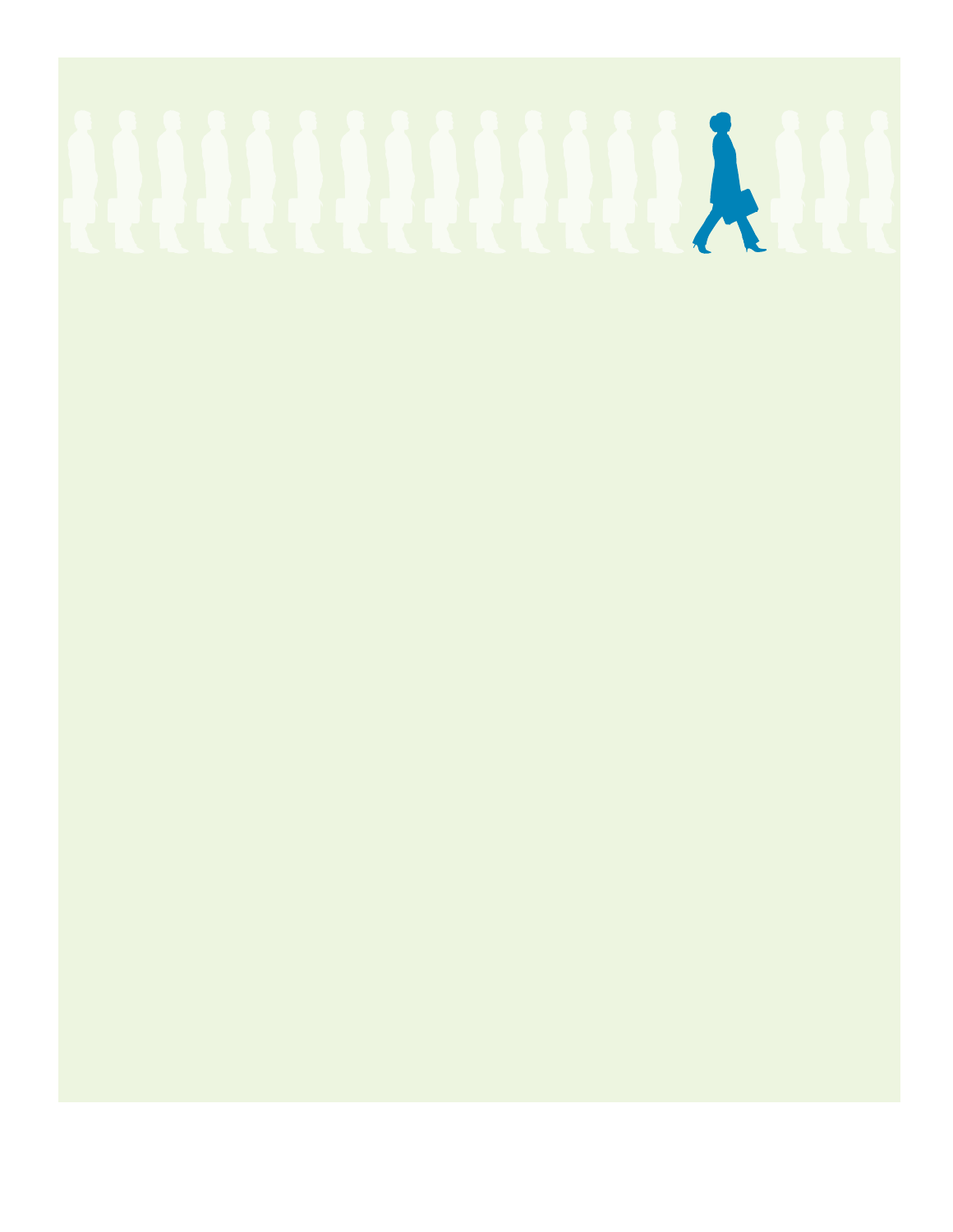#